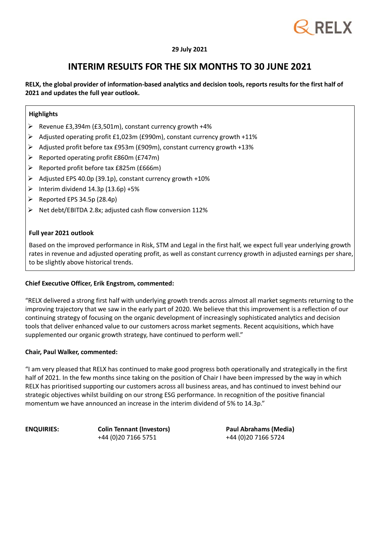

### **29 July 2021**

### **INTERIM RESULTS FOR THE SIX MONTHS TO 30 JUNE 2021**

**RELX, the global provider of information-based analytics and decision tools, reports results for the first half of 2021 and updates the full year outlook.**

### **Highlights**

- Revenue £3,394m (£3,501m), constant currency growth +4%
- Adjusted operating profit £1,023m (£990m), constant currency growth +11%
- Adjusted profit before tax £953m (£909m), constant currency growth +13%
- $\triangleright$  Reported operating profit £860m (£747m)
- $\triangleright$  Reported profit before tax £825m (£666m)
- $\triangleright$  Adjusted EPS 40.0p (39.1p), constant currency growth +10%
- $\triangleright$  Interim dividend 14.3p (13.6p) +5%
- $\triangleright$  Reported EPS 34.5p (28.4p)
- $\triangleright$  Net debt/EBITDA 2.8x; adjusted cash flow conversion 112%

### **Full year 2021 outlook**

Based on the improved performance in Risk, STM and Legal in the first half, we expect full year underlying growth rates in revenue and adjusted operating profit, as well as constant currency growth in adjusted earnings per share, to be slightly above historical trends.

### **Chief Executive Officer, Erik Engstrom, commented:**

"RELX delivered a strong first half with underlying growth trends across almost all market segments returning to the improving trajectory that we saw in the early part of 2020. We believe that this improvement is a reflection of our continuing strategy of focusing on the organic development of increasingly sophisticated analytics and decision tools that deliver enhanced value to our customers across market segments. Recent acquisitions, which have supplemented our organic growth strategy, have continued to perform well."

### **Chair, Paul Walker, commented:**

"I am very pleased that RELX has continued to make good progress both operationally and strategically in the first half of 2021. In the few months since taking on the position of Chair I have been impressed by the way in which RELX has prioritised supporting our customers across all business areas, and has continued to invest behind our strategic objectives whilst building on our strong ESG performance. In recognition of the positive financial momentum we have announced an increase in the interim dividend of 5% to 14.3p."

**ENQUIRIES: Colin Tennant (Investors)** +44 (0)20 7166 5751

**Paul Abrahams (Media)** +44 (0)20 7166 5724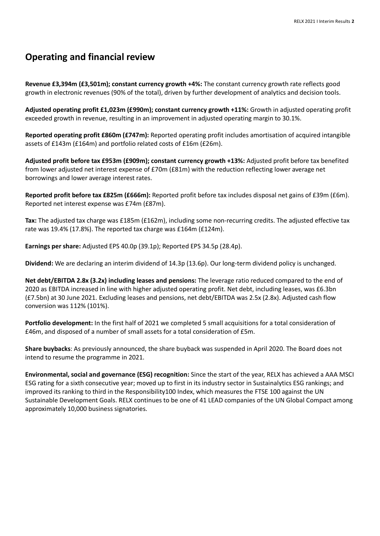**Revenue £3,394m (£3,501m); constant currency growth +4%:** The constant currency growth rate reflects good growth in electronic revenues (90% of the total), driven by further development of analytics and decision tools.

**Adjusted operating profit £1,023m (£990m); constant currency growth +11%:** Growth in adjusted operating profit exceeded growth in revenue, resulting in an improvement in adjusted operating margin to 30.1%.

**Reported operating profit £860m (£747m):** Reported operating profit includes amortisation of acquired intangible assets of £143m (£164m) and portfolio related costs of £16m (£26m).

**Adjusted profit before tax £953m (£909m); constant currency growth +13%:** Adjusted profit before tax benefited from lower adjusted net interest expense of £70m (£81m) with the reduction reflecting lower average net borrowings and lower average interest rates.

**Reported profit before tax £825m (£666m):** Reported profit before tax includes disposal net gains of £39m (£6m). Reported net interest expense was £74m (£87m).

**Tax:** The adjusted tax charge was £185m (£162m), including some non-recurring credits. The adjusted effective tax rate was 19.4% (17.8%). The reported tax charge was £164m (£124m).

**Earnings per share:** Adjusted EPS 40.0p (39.1p); Reported EPS 34.5p (28.4p).

**Dividend:** We are declaring an interim dividend of 14.3p (13.6p). Our long-term dividend policy is unchanged.

**Net debt/EBITDA 2.8x (3.2x) including leases and pensions:** The leverage ratio reduced compared to the end of 2020 as EBITDA increased in line with higher adjusted operating profit. Net debt, including leases, was £6.3bn (£7.5bn) at 30 June 2021. Excluding leases and pensions, net debt/EBITDA was 2.5x (2.8x). Adjusted cash flow conversion was 112% (101%).

**Portfolio development:** In the first half of 2021 we completed 5 small acquisitions for a total consideration of £46m, and disposed of a number of small assets for a total consideration of £5m.

**Share buybacks**: As previously announced, the share buyback was suspended in April 2020. The Board does not intend to resume the programme in 2021.

**Environmental, social and governance (ESG) recognition:** Since the start of the year, RELX has achieved a AAA MSCI ESG rating for a sixth consecutive year; moved up to first in its industry sector in Sustainalytics ESG rankings; and improved its ranking to third in the Responsibility100 Index, which measures the FTSE 100 against the UN Sustainable Development Goals. RELX continues to be one of 41 LEAD companies of the UN Global Compact among approximately 10,000 business signatories.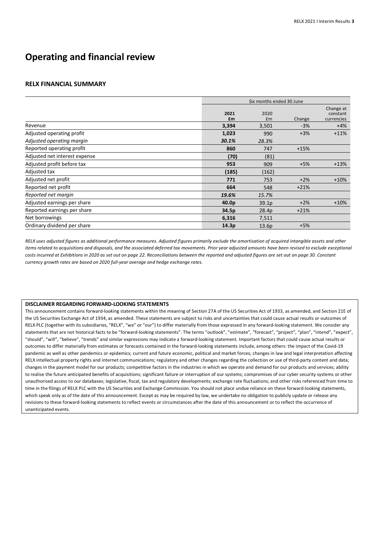#### **RELX FINANCIAL SUMMARY**

|                               | Six months ended 30 June |                   |        |                                     |
|-------------------------------|--------------------------|-------------------|--------|-------------------------------------|
|                               | 2021<br>£m               | 2020<br>Em        | Change | Change at<br>constant<br>currencies |
| Revenue                       | 3,394                    | 3,501             | $-3%$  | $+4%$                               |
| Adjusted operating profit     | 1,023                    | 990               | $+3%$  | $+11%$                              |
| Adjusted operating margin     | 30.1%                    | 28.3%             |        |                                     |
| Reported operating profit     | 860                      | 747               | $+15%$ |                                     |
| Adjusted net interest expense | (70)                     | (81)              |        |                                     |
| Adjusted profit before tax    | 953                      | 909               | $+5%$  | $+13%$                              |
| Adjusted tax                  | (185)                    | (162)             |        |                                     |
| Adjusted net profit           | 771                      | 753               | $+2%$  | $+10%$                              |
| Reported net profit           | 664                      | 548               | $+21%$ |                                     |
| Reported net margin           | 19.6%                    | 15.7%             |        |                                     |
| Adjusted earnings per share   | 40.0 <sub>p</sub>        | 39.1 <sub>p</sub> | $+2%$  | $+10%$                              |
| Reported earnings per share   | 34.5p                    | 28.4p             | $+21%$ |                                     |
| Net borrowings                | 6,316                    | 7,511             |        |                                     |
| Ordinary dividend per share   | 14.3p                    | 13.6p             | $+5%$  |                                     |

RELX uses adjusted figures as additional performance measures. Adjusted figures primarily exclude the amortisation of acquired intangible assets and other items related to acquisitions and disposals, and the associated deferred tax movements. Prior year adjusted amounts have been revised to exclude exceptional costs incurred at Exhibitions in 2020 as set out on page 22. Reconciliations between the reported and adjusted figures are set out on page 30. Constant *currency growth rates are based on 2020 full-year average and hedge exchange rates.*

#### **DISCLAIMER REGARDING FORWARD-LOOKING STATEMENTS**

This announcement contains forward-looking statements within the meaning of Section 27A of the US Securities Act of 1933, as amended, and Section 21E of the US Securities Exchange Act of 1934, as amended. These statements are subject to risks and uncertainties that could cause actual results or outcomes of RELX PLC (together with its subsidiaries, "RELX", "we" or "our") to differ materially from those expressed in any forward-looking statement. We consider any statements that are not historical facts to be "forward-looking statements". The terms "outlook", "estimate", "forecast", "project", "plan", "intend", "expect", "should", "will", "believe", "trends" and similar expressions may indicate a forward-looking statement. Important factors that could cause actual results or outcomes to differ materially from estimates or forecasts contained in the forward-looking statements include, among others: the impact of the Covid-19 pandemic as well as other pandemics or epidemics; current and future economic, political and market forces; changes in law and legal interpretation affecting RELX intellectual property rights and internet communications; regulatory and other changes regarding the collection or use of third-party content and data; changes in the payment model for our products; competitive factors in the industries in which we operate and demand for our products and services; ability to realise the future anticipated benefits of acquisitions; significant failure or interruption of our systems; compromises of our cyber security systems or other unauthorised access to our databases; legislative, fiscal, tax and regulatory developments; exchange rate fluctuations; and other risks referenced from time to time in the filings of RELX PLC with the US Securities and Exchange Commission. You should not place undue reliance on these forward-looking statements, which speak only as of the date of this announcement. Except as may be required by law, we undertake no obligation to publicly update or release any revisions to these forward-looking statements to reflect events or circumstances after the date of this announcement or to reflect the occurrence of unanticipated events.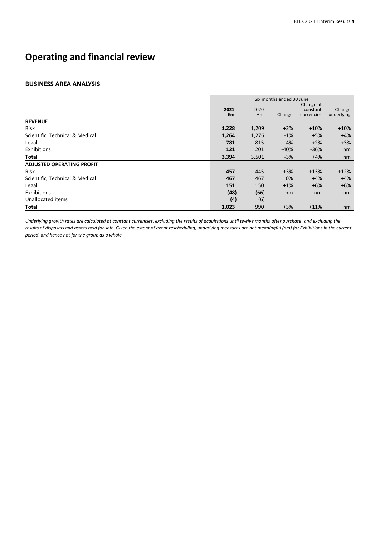#### **BUSINESS AREA ANALYSIS**

|                                  | Six months ended 30 June |            |        |                                     |                      |
|----------------------------------|--------------------------|------------|--------|-------------------------------------|----------------------|
|                                  | 2021<br>£m               | 2020<br>Em | Change | Change at<br>constant<br>currencies | Change<br>underlying |
| <b>REVENUE</b>                   |                          |            |        |                                     |                      |
| <b>Risk</b>                      | 1,228                    | 1,209      | $+2%$  | $+10%$                              | $+10%$               |
| Scientific, Technical & Medical  | 1,264                    | 1,276      | $-1%$  | $+5%$                               | $+4%$                |
| Legal                            | 781                      | 815        | $-4%$  | $+2%$                               | $+3%$                |
| Exhibitions                      | 121                      | 201        | $-40%$ | $-36%$                              | nm                   |
| Total                            | 3,394                    | 3,501      | $-3%$  | $+4%$                               | nm                   |
| <b>ADJUSTED OPERATING PROFIT</b> |                          |            |        |                                     |                      |
| Risk                             | 457                      | 445        | $+3%$  | $+13%$                              | $+12%$               |
| Scientific, Technical & Medical  | 467                      | 467        | 0%     | $+4%$                               | $+4%$                |
| Legal                            | 151                      | 150        | $+1%$  | $+6%$                               | $+6%$                |
| Exhibitions                      | (48)                     | (66)       | nm     | nm                                  | nm                   |
| Unallocated items                | (4)                      | (6)        |        |                                     |                      |
| <b>Total</b>                     | 1,023                    | 990        | $+3%$  | $+11%$                              | nm                   |

Underlying growth rates are calculated at constant currencies, excluding the results of acquisitions until twelve months after purchase, and excluding the *results of disposals and assets held for sale. Given the extent of event rescheduling, underlying measures are not meaningful (nm) for Exhibitions in the current period, and hence not for the group as a whole.*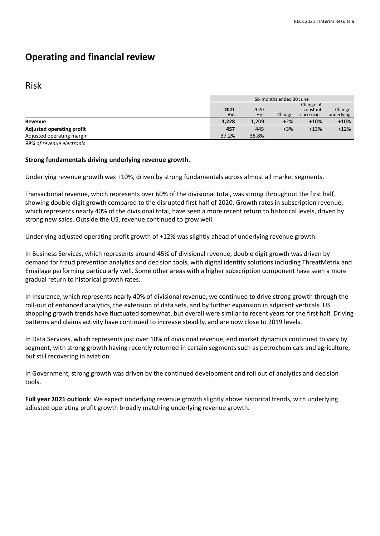### Risk

|                           | Six months ended 30 June |       |        |            |            |
|---------------------------|--------------------------|-------|--------|------------|------------|
|                           | Change at                |       |        |            |            |
|                           | 2021                     | 2020  |        | constant   | Change     |
|                           | £m                       | £m    | Change | currencies | underlying |
| Revenue                   | 1,228                    | 1,209 | $+2%$  | $+10%$     | $+10%$     |
| Adjusted operating profit | 457                      | 445   | $+3%$  | $+13%$     | $+12%$     |
| Adjusted operating margin | 37.2%                    | 36.8% |        |            |            |

*99% of revenue electronic*

### **Strong fundamentals driving underlying revenue growth.**

Underlying revenue growth was +10%, driven by strong fundamentals across almost all market segments.

Transactional revenue, which represents over 60% of the divisional total, was strong throughout the first half, showing double digit growth compared to the disrupted first half of 2020. Growth rates in subscription revenue, which represents nearly 40% of the divisional total, have seen a more recent return to historical levels, driven by strong new sales. Outside the US, revenue continued to grow well.

Underlying adjusted operating profit growth of +12% was slightly ahead of underlying revenue growth.

In Business Services, which represents around 45% of divisional revenue, double digit growth was driven by demand for fraud prevention analytics and decision tools, with digital identity solutions including ThreatMetrix and Emailage performing particularly well. Some other areas with a higher subscription component have seen a more gradual return to historical growth rates.

In Insurance, which represents nearly 40% of divisional revenue, we continued to drive strong growth through the roll-out of enhanced analytics, the extension of data sets, and by further expansion in adjacent verticals. US shopping growth trends have fluctuated somewhat, but overall were similar to recent years for the first half. Driving patterns and claims activity have continued to increase steadily, and are now close to 2019 levels.

In Data Services, which represents just over 10% of divisional revenue, end market dynamics continued to vary by segment, with strong growth having recently returned in certain segments such as petrochemicals and agriculture, but still recovering in aviation.

In Government, strong growth was driven by the continued development and roll out of analytics and decision tools.

**Full year 2021 outlook**: We expect underlying revenue growth slightly above historical trends, with underlying adjusted operating profit growth broadly matching underlying revenue growth.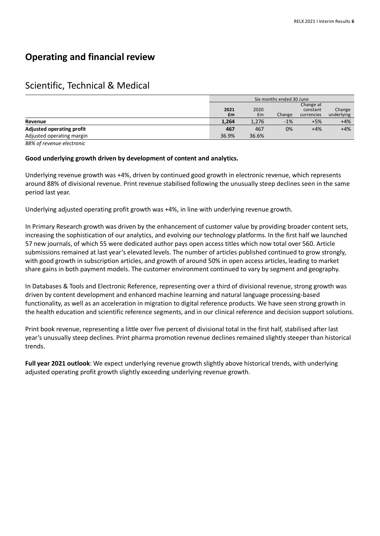### Scientific, Technical & Medical

|                                  | Six months ended 30 June |       |        |            |            |
|----------------------------------|--------------------------|-------|--------|------------|------------|
|                                  | Change at                |       |        |            |            |
|                                  | 2021<br>2020<br>constant |       |        | Change     |            |
|                                  | £m                       | £m    | Change | currencies | underlying |
| Revenue                          | 1,264                    | 1,276 | $-1%$  | $+5%$      | $+4%$      |
| <b>Adjusted operating profit</b> | 467                      | 467   | 0%     | $+4%$      | $+4%$      |
| Adjusted operating margin        | 36.9%                    | 36.6% |        |            |            |

*88% of revenue electronic*

### **Good underlying growth driven by development of content and analytics.**

Underlying revenue growth was +4%, driven by continued good growth in electronic revenue, which represents around 88% of divisional revenue. Print revenue stabilised following the unusually steep declines seen in the same period last year.

Underlying adjusted operating profit growth was +4%, in line with underlying revenue growth.

In Primary Research growth was driven by the enhancement of customer value by providing broader content sets, increasing the sophistication of our analytics, and evolving our technology platforms. In the first half we launched 57 new journals, of which 55 were dedicated author pays open access titles which now total over 560. Article submissions remained at last year's elevated levels. The number of articles published continued to grow strongly, with good growth in subscription articles, and growth of around 50% in open access articles, leading to market share gains in both payment models. The customer environment continued to vary by segment and geography.

In Databases & Tools and Electronic Reference, representing over a third of divisional revenue, strong growth was driven by content development and enhanced machine learning and natural language processing-based functionality, as well as an acceleration in migration to digital reference products. We have seen strong growth in the health education and scientific reference segments, and in our clinical reference and decision support solutions.

Print book revenue, representing a little over five percent of divisional total in the first half, stabilised after last year's unusually steep declines. Print pharma promotion revenue declines remained slightly steeper than historical trends.

**Full year 2021 outlook**: We expect underlying revenue growth slightly above historical trends, with underlying adjusted operating profit growth slightly exceeding underlying revenue growth.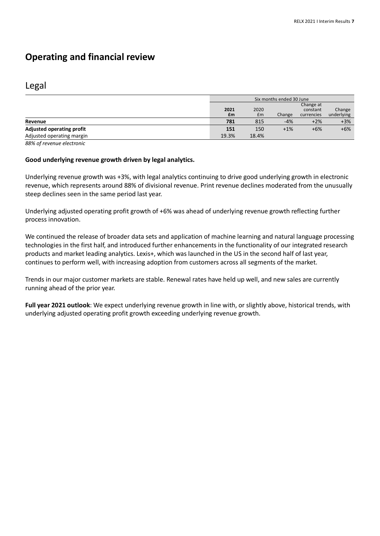### Legal

|                                  | Six months ended 30 June |       |        |            |            |
|----------------------------------|--------------------------|-------|--------|------------|------------|
|                                  | Change at                |       |        |            |            |
|                                  | 2021                     | 2020  |        | constant   | Change     |
|                                  | £m                       | £m    | Change | currencies | underlying |
| Revenue                          | 781                      | 815   | $-4%$  | $+2%$      | $+3%$      |
| <b>Adjusted operating profit</b> | 151                      | 150   | $+1%$  | $+6%$      | $+6%$      |
| Adjusted operating margin        | 19.3%                    | 18.4% |        |            |            |

*88% of revenue electronic* 

### **Good underlying revenue growth driven by legal analytics.**

Underlying revenue growth was +3%, with legal analytics continuing to drive good underlying growth in electronic revenue, which represents around 88% of divisional revenue. Print revenue declines moderated from the unusually steep declines seen in the same period last year.

Underlying adjusted operating profit growth of +6% was ahead of underlying revenue growth reflecting further process innovation.

We continued the release of broader data sets and application of machine learning and natural language processing technologies in the first half, and introduced further enhancements in the functionality of our integrated research products and market leading analytics. Lexis+, which was launched in the US in the second half of last year, continues to perform well, with increasing adoption from customers across all segments of the market.

Trends in our major customer markets are stable. Renewal rates have held up well, and new sales are currently running ahead of the prior year.

**Full year 2021 outlook**: We expect underlying revenue growth in line with, or slightly above, historical trends, with underlying adjusted operating profit growth exceeding underlying revenue growth.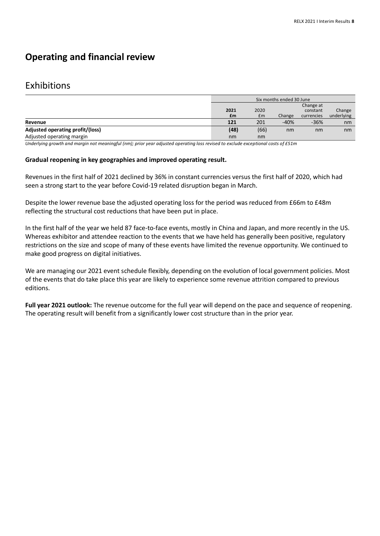### Exhibitions

|                                  | Six months ended 30 June                                                  |      |        |        |                      |
|----------------------------------|---------------------------------------------------------------------------|------|--------|--------|----------------------|
|                                  | Change at<br>2021<br>2020<br>constant<br>£m<br>Change<br>£m<br>currencies |      |        |        | Change<br>underlying |
| Revenue                          | 121                                                                       | 201  | $-40%$ | $-36%$ | nm                   |
| Adjusted operating profit/(loss) | (48)                                                                      | (66) | nm     | nm     | nm                   |
| Adjusted operating margin        | nm                                                                        | nm   |        |        |                      |

*Underlying growth and margin not meaningful (nm); prior year adjusted operating loss revised to exclude exceptional costs of £51m*

#### **Gradual reopening in key geographies and improved operating result.**

Revenues in the first half of 2021 declined by 36% in constant currencies versus the first half of 2020, which had seen a strong start to the year before Covid-19 related disruption began in March.

Despite the lower revenue base the adjusted operating loss for the period was reduced from £66m to £48m reflecting the structural cost reductions that have been put in place.

In the first half of the year we held 87 face-to-face events, mostly in China and Japan, and more recently in the US. Whereas exhibitor and attendee reaction to the events that we have held has generally been positive, regulatory restrictions on the size and scope of many of these events have limited the revenue opportunity. We continued to make good progress on digital initiatives.

We are managing our 2021 event schedule flexibly, depending on the evolution of local government policies. Most of the events that do take place this year are likely to experience some revenue attrition compared to previous editions.

**Full year 2021 outlook:** The revenue outcome for the full year will depend on the pace and sequence of reopening. The operating result will benefit from a significantly lower cost structure than in the prior year.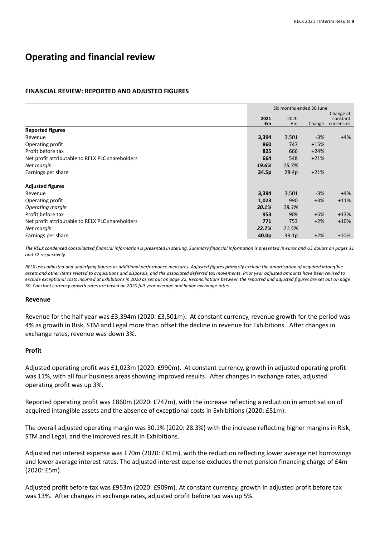### **FINANCIAL REVIEW: REPORTED AND ADJUSTED FIGURES**

|                                                  | Six months ended 30 June |                   |        |                                     |
|--------------------------------------------------|--------------------------|-------------------|--------|-------------------------------------|
|                                                  | 2021<br>£m               | 2020<br>£m        | Change | Change at<br>constant<br>currencies |
| <b>Reported figures</b>                          |                          |                   |        |                                     |
| Revenue                                          | 3,394                    | 3,501             | $-3%$  | $+4%$                               |
| Operating profit                                 | 860                      | 747               | $+15%$ |                                     |
| Profit before tax                                | 825                      | 666               | $+24%$ |                                     |
| Net profit attributable to RELX PLC shareholders | 664                      | 548               | $+21%$ |                                     |
| Net margin                                       | 19.6%                    | 15.7%             |        |                                     |
| Earnings per share                               | 34.5p                    | 28.4p             | $+21%$ |                                     |
| <b>Adjusted figures</b>                          |                          |                   |        |                                     |
| Revenue                                          | 3,394                    | 3,501             | $-3%$  | $+4%$                               |
| Operating profit                                 | 1,023                    | 990               | $+3%$  | $+11%$                              |
| Operating margin                                 | 30.1%                    | 28.3%             |        |                                     |
| Profit before tax                                | 953                      | 909               | $+5%$  | $+13%$                              |
| Net profit attributable to RELX PLC shareholders | 771                      | 753               | $+2%$  | $+10%$                              |
| Net margin                                       | 22.7%                    | 21.5%             |        |                                     |
| Earnings per share                               | 40.0 <sub>p</sub>        | 39.1 <sub>p</sub> | $+2%$  | $+10%$                              |

The RELX condensed consolidated financial information is presented in sterling. Summary financial information is presented in euros and US dollars on pages 31 *and 32 respectively.*

*RELX uses adjusted and underlying figures as additional performance measures. Adjusted figures primarily exclude the amortisation of acquired intangible assets and other items related to acquisitions and disposals, and the associated deferred tax movements. Prior year adjusted amounts have been revised to exclude exceptional costs incurred at Exhibitions in 2020 as set out on page 22. Reconciliations between the reported and adjusted figures are set out on page 30. Constant currency growth rates are based on 2020 full-year average and hedge exchange rates.*

#### **Revenue**

Revenue for the half year was £3,394m (2020: £3,501m). At constant currency, revenue growth for the period was 4% as growth in Risk, STM and Legal more than offset the decline in revenue for Exhibitions. After changes in exchange rates, revenue was down 3%.

#### **Profit**

Adjusted operating profit was £1,023m (2020: £990m). At constant currency, growth in adjusted operating profit was 11%, with all four business areas showing improved results. After changes in exchange rates, adjusted operating profit was up 3%.

Reported operating profit was £860m (2020: £747m), with the increase reflecting a reduction in amortisation of acquired intangible assets and the absence of exceptional costs in Exhibitions (2020: £51m).

The overall adjusted operating margin was 30.1% (2020: 28.3%) with the increase reflecting higher margins in Risk, STM and Legal, and the improved result in Exhibitions.

Adjusted net interest expense was £70m (2020: £81m), with the reduction reflecting lower average net borrowings and lower average interest rates. The adjusted interest expense excludes the net pension financing charge of £4m (2020: £5m).

Adjusted profit before tax was £953m (2020: £909m). At constant currency, growth in adjusted profit before tax was 13%. After changes in exchange rates, adjusted profit before tax was up 5%.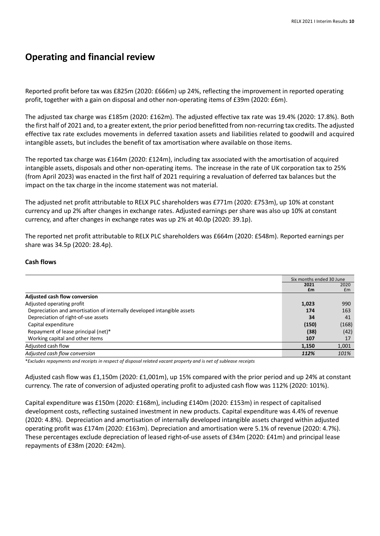Reported profit before tax was £825m (2020: £666m) up 24%, reflecting the improvement in reported operating profit, together with a gain on disposal and other non-operating items of £39m (2020: £6m).

The adjusted tax charge was £185m (2020: £162m). The adjusted effective tax rate was 19.4% (2020: 17.8%). Both the first half of 2021 and, to a greater extent, the prior period benefitted from non-recurring tax credits. The adjusted effective tax rate excludes movements in deferred taxation assets and liabilities related to goodwill and acquired intangible assets, but includes the benefit of tax amortisation where available on those items.

The reported tax charge was £164m (2020: £124m), including tax associated with the amortisation of acquired intangible assets, disposals and other non-operating items. The increase in the rate of UK corporation tax to 25% (from April 2023) was enacted in the first half of 2021 requiring a revaluation of deferred tax balances but the impact on the tax charge in the income statement was not material.

The adjusted net profit attributable to RELX PLC shareholders was £771m (2020: £753m), up 10% at constant currency and up 2% after changes in exchange rates. Adjusted earnings per share was also up 10% at constant currency, and after changes in exchange rates was up 2% at 40.0p (2020: 39.1p).

The reported net profit attributable to RELX PLC shareholders was £664m (2020: £548m). Reported earnings per share was 34.5p (2020: 28.4p).

### **Cash flows**

|                                                                         | Six months ended 30 June |       |
|-------------------------------------------------------------------------|--------------------------|-------|
|                                                                         | 2021                     | 2020  |
|                                                                         | £m                       | £m    |
| <b>Adjusted cash flow conversion</b>                                    |                          |       |
| Adjusted operating profit                                               | 1,023                    | 990   |
| Depreciation and amortisation of internally developed intangible assets | 174                      | 163   |
| Depreciation of right-of-use assets                                     | 34                       | 41    |
| Capital expenditure                                                     | (150)                    | (168) |
| Repayment of lease principal (net)*                                     | (38)                     | (42)  |
| Working capital and other items                                         | 107                      | 17    |
| Adjusted cash flow                                                      | 1.150                    | 1,001 |
| Adjusted cash flow conversion                                           | 112%                     | 101%  |

\*Excludes repayments and receipts in respect of disposal related vacant property and is net of sublease receipts

Adjusted cash flow was £1,150m (2020: £1,001m), up 15% compared with the prior period and up 24% at constant currency. The rate of conversion of adjusted operating profit to adjusted cash flow was 112% (2020: 101%).

Capital expenditure was £150m (2020: £168m), including £140m (2020: £153m) in respect of capitalised development costs, reflecting sustained investment in new products. Capital expenditure was 4.4% of revenue (2020: 4.8%). Depreciation and amortisation of internally developed intangible assets charged within adjusted operating profit was £174m (2020: £163m). Depreciation and amortisation were 5.1% of revenue (2020: 4.7%). These percentages exclude depreciation of leased right-of-use assets of £34m (2020: £41m) and principal lease repayments of £38m (2020: £42m).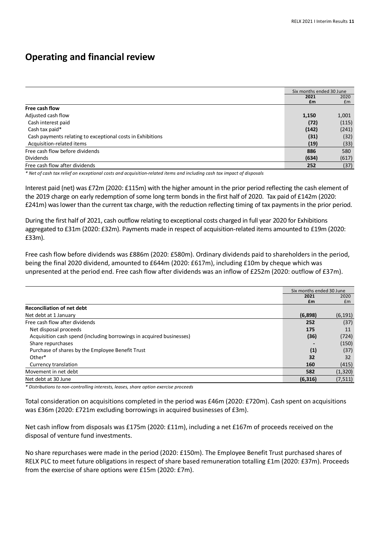|                                                            | Six months ended 30 June |       |
|------------------------------------------------------------|--------------------------|-------|
|                                                            | 2021                     | 2020  |
| Free cash flow                                             | £m                       | £m    |
| Adjusted cash flow                                         | 1,150                    | 1,001 |
| Cash interest paid                                         | (72)                     | (115) |
| Cash tax paid*                                             | (142)                    | (241) |
| Cash payments relating to exceptional costs in Exhibitions | (31)                     | (32)  |
| Acquisition-related items                                  | (19)                     | (33)  |
| Free cash flow before dividends                            | 886                      | 580   |
| <b>Dividends</b>                                           | (634)                    | (617) |
| Free cash flow after dividends                             | 252                      | (37)  |

*\* Net of cash tax relief on exceptional costs and acquisition-related items and including cash tax impact of disposals*

Interest paid (net) was £72m (2020: £115m) with the higher amount in the prior period reflecting the cash element of the 2019 charge on early redemption of some long term bonds in the first half of 2020. Tax paid of £142m (2020: £241m) was lower than the current tax charge, with the reduction reflecting timing of tax payments in the prior period.

During the first half of 2021, cash outflow relating to exceptional costs charged in full year 2020 for Exhibitions aggregated to £31m (2020: £32m). Payments made in respect of acquisition-related items amounted to £19m (2020: £33m).

Free cash flow before dividends was £886m (2020: £580m). Ordinary dividends paid to shareholders in the period, being the final 2020 dividend, amounted to £644m (2020: £617m), including £10m by cheque which was unpresented at the period end. Free cash flow after dividends was an inflow of £252m (2020: outflow of £37m).

|                                                                      | Six months ended 30 June |            |
|----------------------------------------------------------------------|--------------------------|------------|
|                                                                      | 2021<br>£m               | 2020<br>Em |
| <b>Reconciliation of net debt</b>                                    |                          |            |
| Net debt at 1 January                                                | (6,898)                  | (6, 191)   |
| Free cash flow after dividends                                       | 252                      | (37)       |
| Net disposal proceeds                                                | 175                      | 11         |
| Acquisition cash spend (including borrowings in acquired businesses) | (36)                     | (724)      |
| Share repurchases                                                    |                          | (150)      |
| Purchase of shares by the Employee Benefit Trust                     | (1)                      | (37)       |
| Other*                                                               | 32                       | 32         |
| Currency translation                                                 | 160                      | (415)      |
| Movement in net debt                                                 | 582                      | (1, 320)   |
| Net debt at 30 June                                                  | (6, 316)                 | (7, 511)   |

*\* Distributions to non-controlling interests, leases, share option exercise proceeds*

Total consideration on acquisitions completed in the period was £46m (2020: £720m). Cash spent on acquisitions was £36m (2020: £721m excluding borrowings in acquired businesses of £3m).

Net cash inflow from disposals was £175m (2020: £11m), including a net £167m of proceeds received on the disposal of venture fund investments.

No share repurchases were made in the period (2020: £150m). The Employee Benefit Trust purchased shares of RELX PLC to meet future obligations in respect of share based remuneration totalling £1m (2020: £37m). Proceeds from the exercise of share options were £15m (2020: £7m).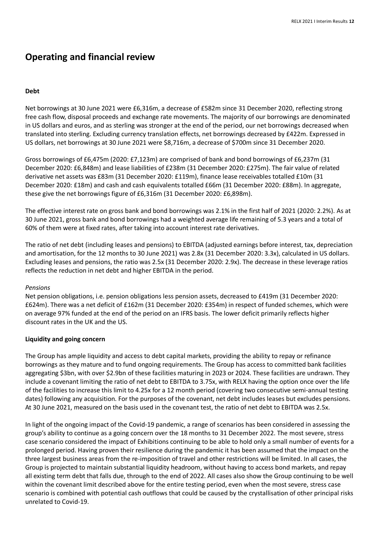### **Debt**

Net borrowings at 30 June 2021 were £6,316m, a decrease of £582m since 31 December 2020, reflecting strong free cash flow, disposal proceeds and exchange rate movements. The majority of our borrowings are denominated in US dollars and euros, and as sterling was stronger at the end of the period, our net borrowings decreased when translated into sterling. Excluding currency translation effects, net borrowings decreased by £422m. Expressed in US dollars, net borrowings at 30 June 2021 were \$8,716m, a decrease of \$700m since 31 December 2020.

Gross borrowings of £6,475m (2020: £7,123m) are comprised of bank and bond borrowings of £6,237m (31 December 2020: £6,848m) and lease liabilities of £238m (31 December 2020: £275m). The fair value of related derivative net assets was £83m (31 December 2020: £119m), finance lease receivables totalled £10m (31 December 2020: £18m) and cash and cash equivalents totalled £66m (31 December 2020: £88m). In aggregate, these give the net borrowings figure of £6,316m (31 December 2020: £6,898m).

The effective interest rate on gross bank and bond borrowings was 2.1% in the first half of 2021 (2020: 2.2%). As at 30 June 2021, gross bank and bond borrowings had a weighted average life remaining of 5.3 years and a total of 60% of them were at fixed rates, after taking into account interest rate derivatives.

The ratio of net debt (including leases and pensions) to EBITDA (adjusted earnings before interest, tax, depreciation and amortisation, for the 12 months to 30 June 2021) was 2.8x (31 December 2020: 3.3x), calculated in US dollars. Excluding leases and pensions, the ratio was 2.5x (31 December 2020: 2.9x). The decrease in these leverage ratios reflects the reduction in net debt and higher EBITDA in the period.

### *Pensions*

Net pension obligations, i.e. pension obligations less pension assets, decreased to £419m (31 December 2020: £624m). There was a net deficit of £162m (31 December 2020: £354m) in respect of funded schemes, which were on average 97% funded at the end of the period on an IFRS basis. The lower deficit primarily reflects higher discount rates in the UK and the US.

### **Liquidity and going concern**

The Group has ample liquidity and access to debt capital markets, providing the ability to repay or refinance borrowings as they mature and to fund ongoing requirements. The Group has access to committed bank facilities aggregating \$3bn, with over \$2.9bn of these facilities maturing in 2023 or 2024. These facilities are undrawn. They include a covenant limiting the ratio of net debt to EBITDA to 3.75x, with RELX having the option once over the life of the facilities to increase this limit to 4.25x for a 12 month period (covering two consecutive semi-annual testing dates) following any acquisition. For the purposes of the covenant, net debt includes leases but excludes pensions. At 30 June 2021, measured on the basis used in the covenant test, the ratio of net debt to EBITDA was 2.5x.

In light of the ongoing impact of the Covid-19 pandemic, a range of scenarios has been considered in assessing the group's ability to continue as a going concern over the 18 months to 31 December 2022. The most severe, stress case scenario considered the impact of Exhibitions continuing to be able to hold only a small number of events for a prolonged period. Having proven their resilience during the pandemic it has been assumed that the impact on the three largest business areas from the re-imposition of travel and other restrictions will be limited. In all cases, the Group is projected to maintain substantial liquidity headroom, without having to access bond markets, and repay all existing term debt that falls due, through to the end of 2022. All cases also show the Group continuing to be well within the covenant limit described above for the entire testing period, even when the most severe, stress case scenario is combined with potential cash outflows that could be caused by the crystallisation of other principal risks unrelated to Covid-19.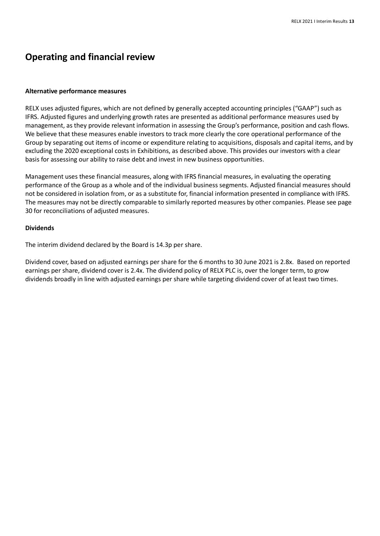#### **Alternative performance measures**

RELX uses adjusted figures, which are not defined by generally accepted accounting principles ("GAAP") such as IFRS. Adjusted figures and underlying growth rates are presented as additional performance measures used by management, as they provide relevant information in assessing the Group's performance, position and cash flows. We believe that these measures enable investors to track more clearly the core operational performance of the Group by separating out items of income or expenditure relating to acquisitions, disposals and capital items, and by excluding the 2020 exceptional costs in Exhibitions, as described above. This provides our investors with a clear basis for assessing our ability to raise debt and invest in new business opportunities.

Management uses these financial measures, along with IFRS financial measures, in evaluating the operating performance of the Group as a whole and of the individual business segments. Adjusted financial measures should not be considered in isolation from, or as a substitute for, financial information presented in compliance with IFRS. The measures may not be directly comparable to similarly reported measures by other companies. Please see page 30 for reconciliations of adjusted measures.

#### **Dividends**

The interim dividend declared by the Board is 14.3p per share.

Dividend cover, based on adjusted earnings per share for the 6 months to 30 June 2021 is 2.8x. Based on reported earnings per share, dividend cover is 2.4x. The dividend policy of RELX PLC is, over the longer term, to grow dividends broadly in line with adjusted earnings per share while targeting dividend cover of at least two times.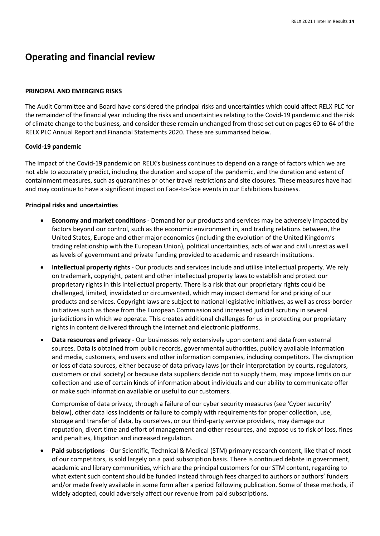#### **PRINCIPAL AND EMERGING RISKS**

The Audit Committee and Board have considered the principal risks and uncertainties which could affect RELX PLC for the remainder of the financial year including the risks and uncertainties relating to the Covid-19 pandemic and the risk of climate change to the business*,* and consider these remain unchanged from those set out on pages 60 to 64 of the RELX PLC Annual Report and Financial Statements 2020. These are summarised below.

### **Covid-19 pandemic**

The impact of the Covid-19 pandemic on RELX's business continues to depend on a range of factors which we are not able to accurately predict, including the duration and scope of the pandemic, and the duration and extent of containment measures, such as quarantines or other travel restrictions and site closures. These measures have had and may continue to have a significant impact on Face-to-face events in our Exhibitions business.

#### **Principal risks and uncertainties**

- **Economy and market conditions** Demand for our products and services may be adversely impacted by factors beyond our control, such as the economic environment in, and trading relations between, the United States, Europe and other major economies (including the evolution of the United Kingdom's trading relationship with the European Union), political uncertainties, acts of war and civil unrest as well as levels of government and private funding provided to academic and research institutions.
- **Intellectual property rights** Our products and services include and utilise intellectual property. We rely on trademark, copyright, patent and other intellectual property laws to establish and protect our proprietary rights in this intellectual property. There is a risk that our proprietary rights could be challenged, limited, invalidated or circumvented, which may impact demand for and pricing of our products and services. Copyright laws are subject to national legislative initiatives, as well as cross-border initiatives such as those from the European Commission and increased judicial scrutiny in several jurisdictions in which we operate. This creates additional challenges for us in protecting our proprietary rights in content delivered through the internet and electronic platforms.
- **Data resources and privacy** Our businesses rely extensively upon content and data from external sources. Data is obtained from public records, governmental authorities, publicly available information and media, customers, end users and other information companies, including competitors. The disruption or loss of data sources, either because of data privacy laws (or their interpretation by courts, regulators, customers or civil society) or because data suppliers decide not to supply them, may impose limits on our collection and use of certain kinds of information about individuals and our ability to communicate offer or make such information available or useful to our customers.

Compromise of data privacy, through a failure of our cyber security measures (see 'Cyber security' below), other data loss incidents or failure to comply with requirements for proper collection, use, storage and transfer of data, by ourselves, or our third-party service providers, may damage our reputation, divert time and effort of management and other resources, and expose us to risk of loss, fines and penalties, litigation and increased regulation.

• **Paid subscriptions** - Our Scientific, Technical & Medical (STM) primary research content, like that of most of our competitors, is sold largely on a paid subscription basis. There is continued debate in government, academic and library communities, which are the principal customers for our STM content, regarding to what extent such content should be funded instead through fees charged to authors or authors' funders and/or made freely available in some form after a period following publication. Some of these methods, if widely adopted, could adversely affect our revenue from paid subscriptions.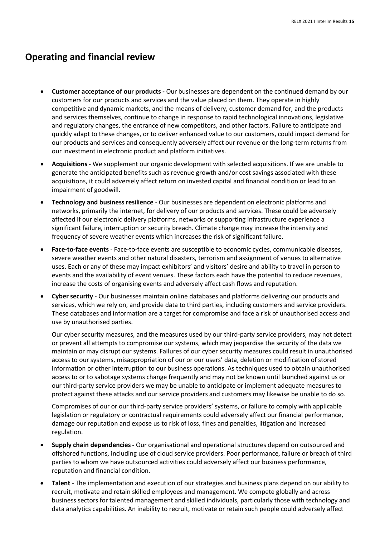- **Customer acceptance of our products -** Our businesses are dependent on the continued demand by our customers for our products and services and the value placed on them. They operate in highly competitive and dynamic markets, and the means of delivery, customer demand for, and the products and services themselves, continue to change in response to rapid technological innovations, legislative and regulatory changes, the entrance of new competitors, and other factors. Failure to anticipate and quickly adapt to these changes, or to deliver enhanced value to our customers, could impact demand for our products and services and consequently adversely affect our revenue or the long-term returns from our investment in electronic product and platform initiatives.
- **Acquisitions** We supplement our organic development with selected acquisitions. If we are unable to generate the anticipated benefits such as revenue growth and/or cost savings associated with these acquisitions, it could adversely affect return on invested capital and financial condition or lead to an impairment of goodwill.
- **Technology and business resilience** Our businesses are dependent on electronic platforms and networks, primarily the internet, for delivery of our products and services. These could be adversely affected if our electronic delivery platforms, networks or supporting infrastructure experience a significant failure, interruption or security breach. Climate change may increase the intensity and frequency of severe weather events which increases the risk of significant failure.
- **Face-to-face events**  Face-to-face events are susceptible to economic cycles, communicable diseases, severe weather events and other natural disasters, terrorism and assignment of venues to alternative uses. Each or any of these may impact exhibitors' and visitors' desire and ability to travel in person to events and the availability of event venues. These factors each have the potential to reduce revenues, increase the costs of organising events and adversely affect cash flows and reputation.
- **Cyber security** Our businesses maintain online databases and platforms delivering our products and services, which we rely on, and provide data to third parties, including customers and service providers. These databases and information are a target for compromise and face a risk of unauthorised access and use by unauthorised parties.

Our cyber security measures, and the measures used by our third-party service providers, may not detect or prevent all attempts to compromise our systems, which may jeopardise the security of the data we maintain or may disrupt our systems. Failures of our cyber security measures could result in unauthorised access to our systems, misappropriation of our or our users' data, deletion or modification of stored information or other interruption to our business operations. As techniques used to obtain unauthorised access to or to sabotage systems change frequently and may not be known until launched against us or our third-party service providers we may be unable to anticipate or implement adequate measures to protect against these attacks and our service providers and customers may likewise be unable to do so.

Compromises of our or our third-party service providers' systems, or failure to comply with applicable legislation or regulatory or contractual requirements could adversely affect our financial performance, damage our reputation and expose us to risk of loss, fines and penalties, litigation and increased regulation.

- **Supply chain dependencies -** Our organisational and operational structures depend on outsourced and offshored functions, including use of cloud service providers. Poor performance, failure or breach of third parties to whom we have outsourced activities could adversely affect our business performance, reputation and financial condition.
- **Talent** The implementation and execution of our strategies and business plans depend on our ability to recruit, motivate and retain skilled employees and management. We compete globally and across business sectors for talented management and skilled individuals, particularly those with technology and data analytics capabilities. An inability to recruit, motivate or retain such people could adversely affect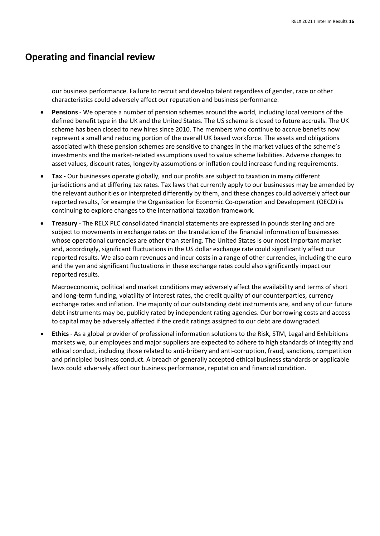our business performance. Failure to recruit and develop talent regardless of gender, race or other characteristics could adversely affect our reputation and business performance.

- **Pensions**  We operate a number of pension schemes around the world, including local versions of the defined benefit type in the UK and the United States. The US scheme is closed to future accruals. The UK scheme has been closed to new hires since 2010. The members who continue to accrue benefits now represent a small and reducing portion of the overall UK based workforce. The assets and obligations associated with these pension schemes are sensitive to changes in the market values of the scheme's investments and the market-related assumptions used to value scheme liabilities. Adverse changes to asset values, discount rates, longevity assumptions or inflation could increase funding requirements.
- **Tax -** Our businesses operate globally, and our profits are subject to taxation in many different jurisdictions and at differing tax rates. Tax laws that currently apply to our businesses may be amended by the relevant authorities or interpreted differently by them, and these changes could adversely affect **our**  reported results, for example the Organisation for Economic Co-operation and Development (OECD) is continuing to explore changes to the international taxation framework.
- **Treasury**  The RELX PLC consolidated financial statements are expressed in pounds sterling and are subject to movements in exchange rates on the translation of the financial information of businesses whose operational currencies are other than sterling. The United States is our most important market and, accordingly, significant fluctuations in the US dollar exchange rate could significantly affect our reported results. We also earn revenues and incur costs in a range of other currencies, including the euro and the yen and significant fluctuations in these exchange rates could also significantly impact our reported results.

Macroeconomic, political and market conditions may adversely affect the availability and terms of short and long-term funding, volatility of interest rates, the credit quality of our counterparties, currency exchange rates and inflation. The majority of our outstanding debt instruments are, and any of our future debt instruments may be, publicly rated by independent rating agencies. Our borrowing costs and access to capital may be adversely affected if the credit ratings assigned to our debt are downgraded.

• **Ethics** - As a global provider of professional information solutions to the Risk, STM, Legal and Exhibitions markets we, our employees and major suppliers are expected to adhere to high standards of integrity and ethical conduct, including those related to anti-bribery and anti-corruption, fraud, sanctions, competition and principled business conduct. A breach of generally accepted ethical business standards or applicable laws could adversely affect our business performance, reputation and financial condition.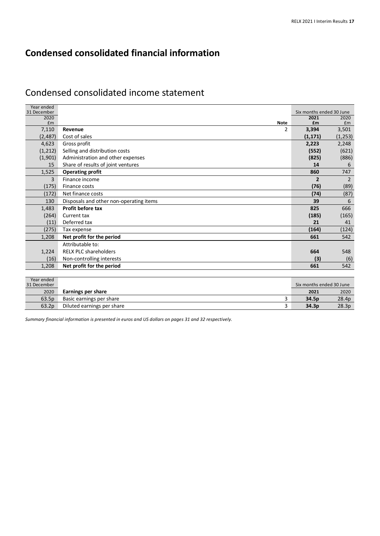## Condensed consolidated income statement

| Year ended                |                                         |                                  |               |
|---------------------------|-----------------------------------------|----------------------------------|---------------|
| 31 December<br>2020       |                                         | Six months ended 30 June<br>2021 | 2020          |
| £m                        | <b>Note</b>                             | £m                               | Em            |
| 7,110                     | $\mathcal{P}$<br>Revenue                | 3,394                            | 3,501         |
| (2, 487)                  | Cost of sales                           | (1, 171)                         | (1,253)       |
| 4,623                     | Gross profit                            | 2,223                            | 2,248         |
| (1, 212)                  | Selling and distribution costs          | (552)                            | (621)         |
| (1,901)                   | Administration and other expenses       | (825)                            | (886)         |
| 15                        | Share of results of joint ventures      | 14                               | 6             |
| 1,525                     | <b>Operating profit</b>                 | 860                              | 747           |
| 3                         | Finance income                          | $\overline{2}$                   | $\mathcal{P}$ |
| (175)                     | Finance costs                           | (76)                             | (89)          |
| (172)                     | Net finance costs                       | (74)                             | (87)          |
| 130                       | Disposals and other non-operating items | 39                               | 6             |
| 1,483                     | Profit before tax                       | 825                              | 666           |
| (264)                     | Current tax                             | (185)                            | (165)         |
| (11)                      | Deferred tax                            | 21                               | 41            |
| (275)                     | Tax expense                             | (164)                            | (124)         |
| 1,208                     | Net profit for the period               | 661                              | 542           |
|                           | Attributable to:                        |                                  |               |
| 1,224                     | <b>RELX PLC shareholders</b>            | 664                              | 548           |
| (16)                      | Non-controlling interests               | (3)                              | (6)           |
| 1,208                     | Net profit for the period               | 661                              | 542           |
|                           |                                         |                                  |               |
| Year ended<br>31 December |                                         | Six months ended 30 June         |               |
| 2020                      | Earnings per share                      | 2021                             | 2020          |
| 63.5p                     | 3<br>Basic earnings per share           | 34.5p                            | 28.4p         |
| 63.2p                     | 3<br>Diluted earnings per share         | 34.3p                            | 28.3p         |

*Summary financial information is presented in euros and US dollars on pages 31 and 32 respectively.*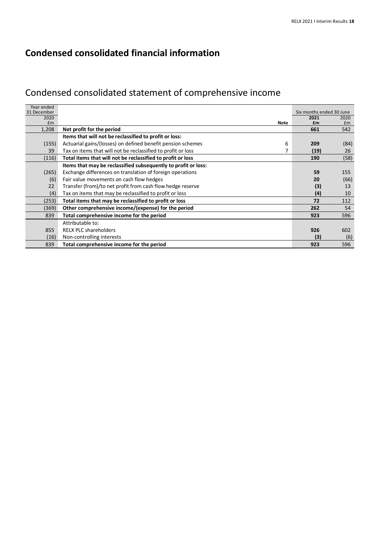# Condensed consolidated statement of comprehensive income

| Year ended  |                                                                   |                          |      |
|-------------|-------------------------------------------------------------------|--------------------------|------|
| 31 December |                                                                   | Six months ended 30 June |      |
| 2020        |                                                                   | 2021                     | 2020 |
| £m          | <b>Note</b>                                                       | £m                       | Em   |
| 1,208       | Net profit for the period                                         | 661                      | 542  |
|             | Items that will not be reclassified to profit or loss:            |                          |      |
| (155)       | Actuarial gains/(losses) on defined benefit pension schemes<br>6  | 209                      | (84) |
| 39          | Tax on items that will not be reclassified to profit or loss<br>7 | (19)                     | 26   |
| (116)       | Total items that will not be reclassified to profit or loss       | 190                      | (58) |
|             | Items that may be reclassified subsequently to profit or loss:    |                          |      |
| (265)       | Exchange differences on translation of foreign operations         | 59                       | 155  |
| (6)         | Fair value movements on cash flow hedges                          | 20                       | (66) |
| 22          | Transfer (from)/to net profit from cash flow hedge reserve        | (3)                      | 13   |
| (4)         | Tax on items that may be reclassified to profit or loss           | (4)                      | 10   |
| (253)       | Total items that may be reclassified to profit or loss            | 72                       | 112  |
| (369)       | Other comprehensive income/(expense) for the period               | 262                      | 54   |
| 839         | Total comprehensive income for the period                         | 923                      | 596  |
|             | Attributable to:                                                  |                          |      |
| 855         | <b>RELX PLC shareholders</b>                                      | 926                      | 602  |
| (16)        | Non-controlling interests                                         | (3)                      | (6)  |
| 839         | Total comprehensive income for the period                         | 923                      | 596  |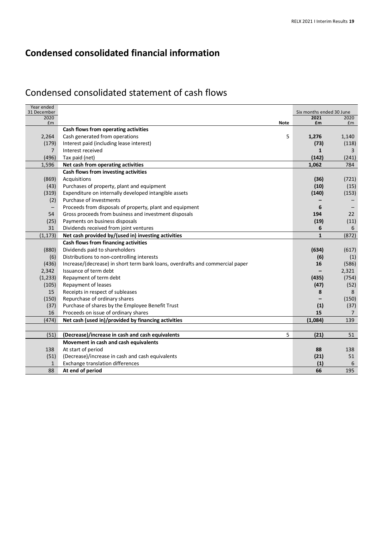# Condensed consolidated statement of cash flows

| Year ended<br>31 December |                                                                                                        | Six months ended 30 June |                       |
|---------------------------|--------------------------------------------------------------------------------------------------------|--------------------------|-----------------------|
| 2020                      |                                                                                                        | 2021                     | 2020                  |
| £m                        | <b>Note</b>                                                                                            | £m                       | £m                    |
|                           | Cash flows from operating activities                                                                   |                          |                       |
| 2,264                     | 5<br>Cash generated from operations                                                                    | 1,276                    | 1,140                 |
| (179)                     | Interest paid (including lease interest)                                                               | (73)                     | (118)                 |
| $\overline{7}$            | Interest received                                                                                      | $\mathbf{1}$             | 3                     |
| (496)                     | Tax paid (net)                                                                                         | (142)                    | (241)<br>784          |
| 1,596                     | Net cash from operating activities                                                                     | 1,062                    |                       |
|                           | Cash flows from investing activities                                                                   |                          |                       |
| (869)                     | Acquisitions                                                                                           | (36)                     | (721)                 |
| (43)                      | Purchases of property, plant and equipment                                                             | (10)                     | (15)                  |
| (319)                     | Expenditure on internally developed intangible assets<br>Purchase of investments                       | (140)                    | (153)                 |
| (2)                       |                                                                                                        |                          |                       |
| $\overline{\phantom{m}}$  | Proceeds from disposals of property, plant and equipment                                               | 6                        |                       |
| 54                        | Gross proceeds from business and investment disposals                                                  | 194                      | 22                    |
| (25)<br>31                | Payments on business disposals                                                                         | (19)<br>6                | (11)<br>6             |
|                           | Dividends received from joint ventures                                                                 |                          |                       |
| (1, 173)                  | Net cash provided by/(used in) investing activities                                                    | $\mathbf{1}$             | (872)                 |
|                           | Cash flows from financing activities                                                                   |                          |                       |
| (880)                     | Dividends paid to shareholders                                                                         | (634)                    | (617)                 |
| (6)                       | Distributions to non-controlling interests                                                             | (6)                      | (1)                   |
| (436)                     | Increase/(decrease) in short term bank loans, overdrafts and commercial paper<br>Issuance of term debt | 16                       | (586)                 |
| 2,342                     |                                                                                                        |                          | 2,321                 |
| (1, 233)                  | Repayment of term debt                                                                                 | (435)                    | (754)                 |
| (105)<br>15               | Repayment of leases                                                                                    | (47)                     | (52)                  |
|                           | Receipts in respect of subleases                                                                       | 8                        | 8                     |
| (150)                     | Repurchase of ordinary shares                                                                          |                          | (150)                 |
| (37)<br>16                | Purchase of shares by the Employee Benefit Trust                                                       | (1)<br>15                | (37)                  |
| (474)                     | Proceeds on issue of ordinary shares<br>Net cash (used in)/provided by financing activities            |                          | $\overline{7}$<br>139 |
|                           |                                                                                                        | (1,084)                  |                       |
| (51)                      | 5<br>(Decrease)/increase in cash and cash equivalents                                                  | (21)                     | 51                    |
|                           | Movement in cash and cash equivalents                                                                  |                          |                       |
| 138                       | At start of period                                                                                     | 88                       | 138                   |
| (51)                      | (Decrease)/increase in cash and cash equivalents                                                       | (21)                     | 51                    |
| $\mathbf{1}$              | Exchange translation differences                                                                       | (1)                      | 6                     |
| 88                        | At end of period                                                                                       | 66                       | 195                   |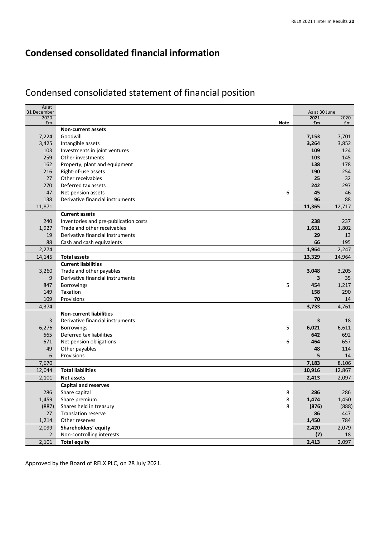# Condensed consolidated statement of financial position

| As at<br>31 December |                                                   | As at 30 June |        |
|----------------------|---------------------------------------------------|---------------|--------|
| 2020                 |                                                   | 2021          | 2020   |
| £m                   | <b>Note</b><br><b>Non-current assets</b>          | £m            | £m     |
| 7,224                | Goodwill                                          | 7,153         | 7,701  |
| 3,425                | Intangible assets                                 | 3,264         | 3,852  |
| 103                  | Investments in joint ventures                     | 109           | 124    |
| 259                  | Other investments                                 | 103           | 145    |
| 162                  | Property, plant and equipment                     | 138           | 178    |
| 216                  | Right-of-use assets                               | 190           | 254    |
| 27                   | Other receivables                                 | 25            | 32     |
| 270                  | Deferred tax assets                               | 242           | 297    |
| 47                   | 6<br>Net pension assets                           | 45            | 46     |
| 138                  | Derivative financial instruments                  | 96            | 88     |
| 11,871               |                                                   | 11,365        | 12,717 |
|                      | <b>Current assets</b>                             |               |        |
| 240                  | Inventories and pre-publication costs             | 238           | 237    |
| 1,927                | Trade and other receivables                       | 1,631         | 1,802  |
| 19                   | Derivative financial instruments                  | 29            | 13     |
| 88                   | Cash and cash equivalents                         | 66            | 195    |
| 2,274                |                                                   |               | 2,247  |
|                      |                                                   | 1,964         |        |
| 14,145               | <b>Total assets</b><br><b>Current liabilities</b> | 13,329        | 14,964 |
|                      |                                                   |               |        |
| 3,260                | Trade and other payables                          | 3,048         | 3,205  |
| 9                    | Derivative financial instruments                  | 3             | 35     |
| 847                  | 5<br>Borrowings                                   | 454           | 1,217  |
| 149                  | Taxation                                          | 158           | 290    |
| 109                  | Provisions                                        | 70            | 14     |
| 4,374                |                                                   | 3,733         | 4,761  |
|                      | <b>Non-current liabilities</b>                    |               |        |
| 3                    | Derivative financial instruments                  | 3             | 18     |
| 6,276                | <b>Borrowings</b><br>5                            | 6,021         | 6,611  |
| 665                  | Deferred tax liabilities                          | 642           | 692    |
| 671                  | Net pension obligations<br>6                      | 464           | 657    |
| 49                   | Other payables                                    | 48            | 114    |
| 6                    | Provisions                                        | 5             | 14     |
| 7,670                |                                                   | 7,183         | 8,106  |
| 12,044               | <b>Total liabilities</b>                          | 10,916        | 12,867 |
| 2,101                | <b>Net assets</b>                                 | 2,413         | 2,097  |
|                      | <b>Capital and reserves</b>                       |               |        |
| 286                  | Share capital<br>8                                | 286           | 286    |
| 1,459                | 8<br>Share premium                                | 1,474         | 1,450  |
| (887)                | Shares held in treasury<br>8                      | (876)         | (888)  |
| 27                   | Translation reserve                               | 86            | 447    |
| 1,214                | Other reserves                                    | 1,450         | 784    |
| 2,099                | Shareholders' equity                              | 2,420         | 2,079  |
| $\mathbf{2}$         | Non-controlling interests                         | (7)           | 18     |
| 2,101                | <b>Total equity</b>                               | 2,413         | 2,097  |

Approved by the Board of RELX PLC, on 28 July 2021.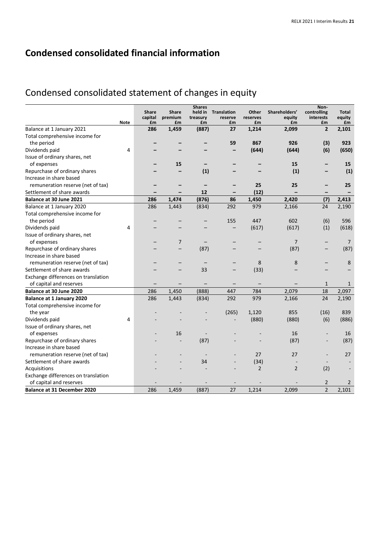# Condensed consolidated statement of changes in equity

|                                     |             |               |                | <b>Shares</b>  |                    |                |                | Non-            |                |
|-------------------------------------|-------------|---------------|----------------|----------------|--------------------|----------------|----------------|-----------------|----------------|
|                                     |             | <b>Share</b>  | <b>Share</b>   | held in        | <b>Translation</b> | Other          | Shareholders'  | controlling     | <b>Total</b>   |
|                                     | <b>Note</b> | capital<br>£m | premium<br>£m  | treasury<br>£m | reserve<br>£m      | reserves<br>£m | equity<br>£m   | interests<br>£m | equity<br>£m   |
| Balance at 1 January 2021           |             | 286           | 1,459          | (887)          | 27                 | 1,214          | 2,099          | $\overline{2}$  | 2,101          |
| Total comprehensive income for      |             |               |                |                |                    |                |                |                 |                |
| the period                          |             |               |                |                | 59                 | 867            | 926            | (3)             | 923            |
| Dividends paid                      | 4           |               |                |                | -                  | (644)          | (644)          | (6)             | (650)          |
| Issue of ordinary shares, net       |             |               |                |                |                    |                |                |                 |                |
| of expenses                         |             |               | 15             |                |                    |                | 15             |                 | 15             |
| Repurchase of ordinary shares       |             |               |                | (1)            |                    |                | (1)            |                 | (1)            |
| Increase in share based             |             |               |                |                |                    |                |                |                 |                |
| remuneration reserve (net of tax)   |             |               |                |                |                    | 25             | 25             |                 | 25             |
| Settlement of share awards          |             |               |                | 12             |                    | (12)           |                |                 |                |
| Balance at 30 June 2021             |             | 286           | 1,474          | (876)          | 86                 | 1,450          | 2,420          | (7)             | 2,413          |
| Balance at 1 January 2020           |             | 286           | 1,443          | (834)          | 292                | 979            | 2,166          | 24              | 2,190          |
| Total comprehensive income for      |             |               |                |                |                    |                |                |                 |                |
|                                     |             |               |                |                |                    |                |                |                 |                |
| the period                          | 4           |               |                |                | 155                | 447            | 602            | (6)<br>(1)      | 596<br>(618)   |
| Dividends paid                      |             |               |                |                |                    | (617)          | (617)          |                 |                |
| Issue of ordinary shares, net       |             |               |                |                |                    |                |                |                 |                |
| of expenses                         |             |               | $\overline{7}$ |                |                    |                | 7              |                 | 7              |
| Repurchase of ordinary shares       |             |               |                | (87)           |                    |                | (87)           |                 | (87)           |
| Increase in share based             |             |               |                |                |                    |                |                |                 |                |
| remuneration reserve (net of tax)   |             |               |                |                |                    | 8              | 8              |                 | 8              |
| Settlement of share awards          |             |               |                | 33             |                    | (33)           |                |                 |                |
| Exchange differences on translation |             |               |                |                |                    |                |                |                 |                |
| of capital and reserves             |             |               |                |                |                    |                |                | $\mathbf{1}$    | 1              |
| Balance at 30 June 2020             |             | 286           | 1,450          | (888)          | 447                | 784            | 2,079          | 18              | 2,097          |
| <b>Balance at 1 January 2020</b>    |             | 286           | 1,443          | (834)          | 292                | 979            | 2,166          | 24              | 2,190          |
| Total comprehensive income for      |             |               |                |                |                    |                |                |                 |                |
| the year                            |             |               |                |                | (265)              | 1,120          | 855            | (16)            | 839            |
| Dividends paid                      | 4           |               |                |                |                    | (880)          | (880)          | (6)             | (886)          |
| Issue of ordinary shares, net       |             |               |                |                |                    |                |                |                 |                |
| of expenses                         |             |               | 16             |                |                    |                | 16             |                 | 16             |
| Repurchase of ordinary shares       |             |               |                | (87)           |                    |                | (87)           |                 | (87)           |
| Increase in share based             |             |               |                |                |                    |                |                |                 |                |
| remuneration reserve (net of tax)   |             |               |                |                |                    | 27             | 27             |                 | 27             |
| Settlement of share awards          |             |               |                | 34             |                    | (34)           |                |                 |                |
| Acquisitions                        |             |               |                |                |                    | $\overline{2}$ | $\overline{2}$ | (2)             |                |
| Exchange differences on translation |             |               |                |                |                    |                |                |                 |                |
| of capital and reserves             |             |               |                |                |                    |                |                | 2               | $\overline{2}$ |
| <b>Balance at 31 December 2020</b>  |             | 286           | 1,459          | (887)          | 27                 | 1,214          | 2,099          | $\overline{2}$  | 2,101          |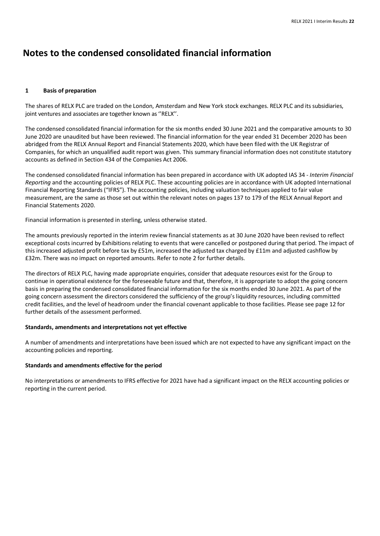#### **1 Basis of preparation**

The shares of RELX PLC are traded on the London, Amsterdam and New York stock exchanges. RELX PLC and its subsidiaries, joint ventures and associates are together known as "RELX".

The condensed consolidated financial information for the six months ended 30 June 2021 and the comparative amounts to 30 June 2020 are unaudited but have been reviewed. The financial information for the year ended 31 December 2020 has been abridged from the RELX Annual Report and Financial Statements 2020, which have been filed with the UK Registrar of Companies, for which an unqualified audit report was given. This summary financial information does not constitute statutory accounts as defined in Section 434 of the Companies Act 2006.

The condensed consolidated financial information has been prepared in accordance with UK adopted IAS 34 - *Interim Financial Reporting* and the accounting policies of RELX PLC. These accounting policies are in accordance with UK adopted International Financial Reporting Standards ("IFRS"). The accounting policies, including valuation techniques applied to fair value measurement, are the same as those set out within the relevant notes on pages 137 to 179 of the RELX Annual Report and Financial Statements 2020.

Financial information is presented in sterling, unless otherwise stated.

The amounts previously reported in the interim review financial statements as at 30 June 2020 have been revised to reflect exceptional costs incurred by Exhibitions relating to events that were cancelled or postponed during that period. The impact of this increased adjusted profit before tax by £51m, increased the adjusted tax charged by £11m and adjusted cashflow by £32m. There was no impact on reported amounts. Refer to note 2 for further details.

The directors of RELX PLC, having made appropriate enquiries, consider that adequate resources exist for the Group to continue in operational existence for the foreseeable future and that, therefore, it is appropriate to adopt the going concern basis in preparing the condensed consolidated financial information for the six months ended 30 June 2021. As part of the going concern assessment the directors considered the sufficiency of the group's liquidity resources, including committed credit facilities, and the level of headroom under the financial covenant applicable to those facilities. Please see page 12 for further details of the assessment performed.

#### **Standards, amendments and interpretations not yet effective**

A number of amendments and interpretations have been issued which are not expected to have any significant impact on the accounting policies and reporting.

### **Standards and amendments effective for the period**

No interpretations or amendments to IFRS effective for 2021 have had a significant impact on the RELX accounting policies or reporting in the current period.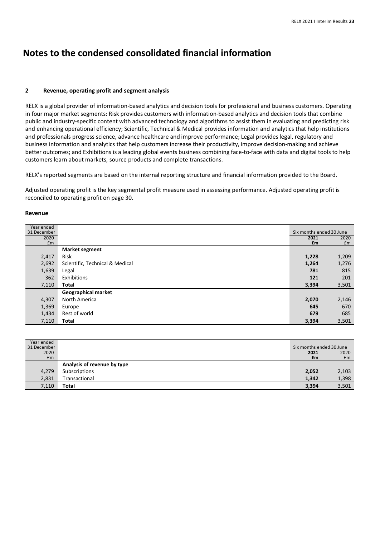#### **2 Revenue, operating profit and segment analysis**

RELX is a global provider of information-based analytics and decision tools for professional and business customers. Operating in four major market segments: Risk provides customers with information-based analytics and decision tools that combine public and industry-specific content with advanced technology and algorithms to assist them in evaluating and predicting risk and enhancing operational efficiency; Scientific, Technical & Medical provides information and analytics that help institutions and professionals progress science, advance healthcare and improve performance; Legal provides legal, regulatory and business information and analytics that help customers increase their productivity, improve decision-making and achieve better outcomes; and Exhibitions is a leading global events business combining face-to-face with data and digital tools to help customers learn about markets, source products and complete transactions.

RELX's reported segments are based on the internal reporting structure and financial information provided to the Board.

Adjusted operating profit is the key segmental profit measure used in assessing performance. Adjusted operating profit is reconciled to operating profit on page 30.

#### **Revenue**

| Year ended  |                                 |                          |       |
|-------------|---------------------------------|--------------------------|-------|
| 31 December |                                 | Six months ended 30 June |       |
| 2020        |                                 | 2021                     | 2020  |
| Em          |                                 | £m                       | Em    |
|             | <b>Market segment</b>           |                          |       |
| 2,417       | Risk                            | 1,228                    | 1,209 |
| 2,692       | Scientific, Technical & Medical | 1,264                    | 1,276 |
| 1,639       | Legal                           | 781                      | 815   |
| 362         | Exhibitions                     | 121                      | 201   |
| 7,110       | Total                           | 3,394                    | 3,501 |
|             | <b>Geographical market</b>      |                          |       |
| 4,307       | North America                   | 2,070                    | 2,146 |
| 1,369       | Europe                          | 645                      | 670   |
| 1,434       | Rest of world                   | 679                      | 685   |
| 7,110       | Total                           | 3,394                    | 3,501 |

| Year ended<br>31 December |                             | Six months ended 30 June |       |
|---------------------------|-----------------------------|--------------------------|-------|
| 2020                      |                             | 2021                     | 2020  |
| Em                        |                             | £m                       | £m    |
|                           | Analysis of revenue by type |                          |       |
| 4,279                     | Subscriptions               | 2,052                    | 2,103 |
| 2,831                     | Transactional               | 1,342                    | 1,398 |
| 7,110                     | Total                       | 3,394                    | 3,501 |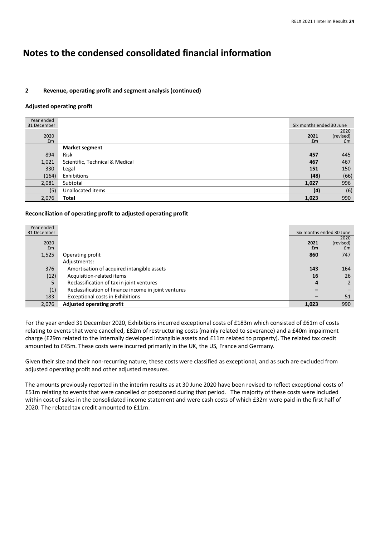### **2 Revenue, operating profit and segment analysis (continued)**

#### **Adjusted operating profit**

| Year ended  |                                 |                          |           |
|-------------|---------------------------------|--------------------------|-----------|
| 31 December |                                 | Six months ended 30 June |           |
|             |                                 |                          | 2020      |
| 2020        |                                 | 2021                     | (revised) |
| Em          |                                 | £m                       | £m        |
|             | <b>Market segment</b>           |                          |           |
| 894         | <b>Risk</b>                     | 457                      | 445       |
| 1,021       | Scientific, Technical & Medical | 467                      | 467       |
| 330         | Legal                           | 151                      | 150       |
| (164)       | Exhibitions                     | (48)                     | (66)      |
| 2,081       | Subtotal                        | 1,027                    | 996       |
| (5)         | Unallocated items               | (4)                      | (6)       |
| 2,076       | Total                           | 1,023                    | 990       |

#### **Reconciliation of operating profit to adjusted operating profit**

| Year ended<br>31 December |                                                      |       | Six months ended 30 June |
|---------------------------|------------------------------------------------------|-------|--------------------------|
|                           |                                                      |       | 2020                     |
| 2020                      |                                                      | 2021  | (revised)                |
| Em                        |                                                      | £m    | £m                       |
| 1,525                     | Operating profit                                     | 860   | 747                      |
|                           | Adjustments:                                         |       |                          |
| 376                       | Amortisation of acquired intangible assets           | 143   | 164                      |
| (12)                      | Acquisition-related items                            | 16    | 26                       |
| 5                         | Reclassification of tax in joint ventures            | 4     |                          |
| (1)                       | Reclassification of finance income in joint ventures |       |                          |
| 183                       | <b>Exceptional costs in Exhibitions</b>              |       | 51                       |
| 2,076                     | Adjusted operating profit                            | 1,023 | 990                      |

For the year ended 31 December 2020, Exhibitions incurred exceptional costs of £183m which consisted of £61m of costs relating to events that were cancelled, £82m of restructuring costs (mainly related to severance) and a £40m impairment charge (£29m related to the internally developed intangible assets and £11m related to property). The related tax credit amounted to £45m. These costs were incurred primarily in the UK, the US, France and Germany.

Given their size and their non-recurring nature, these costs were classified as exceptional, and as such are excluded from adjusted operating profit and other adjusted measures.

The amounts previously reported in the interim results as at 30 June 2020 have been revised to reflect exceptional costs of £51m relating to events that were cancelled or postponed during that period. The majority of these costs were included within cost of sales in the consolidated income statement and were cash costs of which £32m were paid in the first half of 2020. The related tax credit amounted to £11m.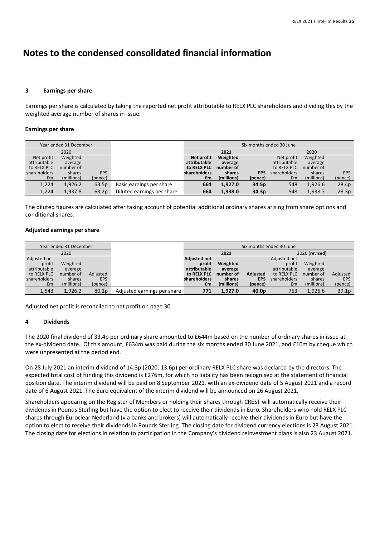#### **3 Earnings per share**

Earnings per share is calculated by taking the reported net profit attributable to RELX PLC shareholders and dividing this by the weighted average number of shares in issue.

#### **Earnings per share**

|              | Year ended 31 December |            |                            | Six months ended 30 June |            |                   |              |            |            |
|--------------|------------------------|------------|----------------------------|--------------------------|------------|-------------------|--------------|------------|------------|
|              | 2020                   |            |                            |                          | 2021       |                   |              | 2020       |            |
| Net profit   | Weighted               |            |                            | Net profit               | Weighted   |                   | Net profit   | Weighted   |            |
| attributable | average                |            |                            | attributable             | average    |                   | attributable | average    |            |
| to RELX PLC  | number of              |            |                            | to RELX PLC              | number of  |                   | to RELX PLC  | number of  |            |
| shareholders | shares                 | <b>EPS</b> |                            | shareholders             | shares     | <b>EPS</b>        | shareholders | shares     | <b>EPS</b> |
| Em           | (millions)             | (pence)    |                            | £m                       | (millions) | (pence)           | Em           | (millions) | (pence)    |
| 1,224        | 1,926.2                | 63.5p      | Basic earnings per share   | 664                      | 1,927.0    | 34.5p             | 548          | 1,926.6    | 28.4p      |
| 1,224        | 1.937.8                | 63.2p      | Diluted earnings per share | 664                      | 1.938.0    | 34.3 <sub>p</sub> | 548          | 1,938.7    | 28.3p      |

The diluted figures are calculated after taking account of potential additional ordinary shares arising from share options and conditional shares.

#### **Adjusted earnings per share**

| Year ended 31 December |            |                   |                             | Six months ended 30 June |            |                   |                |            |                   |
|------------------------|------------|-------------------|-----------------------------|--------------------------|------------|-------------------|----------------|------------|-------------------|
| 2020                   |            |                   |                             | 2021                     |            |                   | 2020 (revised) |            |                   |
| Adjusted net           |            |                   |                             | <b>Adjusted net</b>      |            |                   | Adjusted net   |            |                   |
| profit                 | Weighted   |                   |                             | profit                   | Weighted   |                   | profit         | Weighted   |                   |
| attributable           | average    |                   |                             | attributable             | average    |                   | attributable   | average    |                   |
| to RELX PLC            | number of  | Adjusted          |                             | to RELX PLC              | number of  | Adjusted          | to RELX PLC    | number of  | Adjusted          |
| shareholders           | shares     | <b>EPS</b>        |                             | shareholders             | shares     | <b>EPS</b>        | shareholders   | shares     | EPS               |
| £m                     | (millions) | (pence)           |                             | £m                       | (millions) | (pence)           | £m             | (millions) | (pence)           |
| 1,543                  | 1.926.2    | 80.1 <sub>D</sub> | Adjusted earnings per share | 771                      | 1.927.0    | 40.0 <sub>p</sub> | 753            | 1.926.6    | 39.1 <sub>p</sub> |

Adjusted net profit is reconciled to net profit on page 30.

#### **4 Dividends**

The 2020 final dividend of 33.4p per ordinary share amounted to £644m based on the number of ordinary shares in issue at the ex-dividend date. Of this amount, £634m was paid during the six months ended 30 June 2021, and £10m by cheque which were unpresented at the period end.

On 28 July 2021 an interim dividend of 14.3p (2020: 13.6p) per ordinary RELX PLC share was declared by the directors. The expected total cost of funding this dividend is £276m, for which no liability has been recognised at the statement of financial position date. The interim dividend will be paid on 8 September 2021, with an ex-dividend date of 5 August 2021 and a record date of 6 August 2021. The Euro equivalent of the interim dividend will be announced on 26 August 2021.

Shareholders appearing on the Register of Members or holding their shares through CREST will automatically receive their dividends in Pounds Sterling but have the option to elect to receive their dividends in Euro. Shareholders who hold RELX PLC shares through Euroclear Nederland (via banks and brokers) will automatically receive their dividends in Euro but have the option to elect to receive their dividends in Pounds Sterling. The closing date for dividend currency elections is 23 August 2021. The closing date for elections in relation to participation in the Company's dividend reinvestment plans is also 23 August 2021.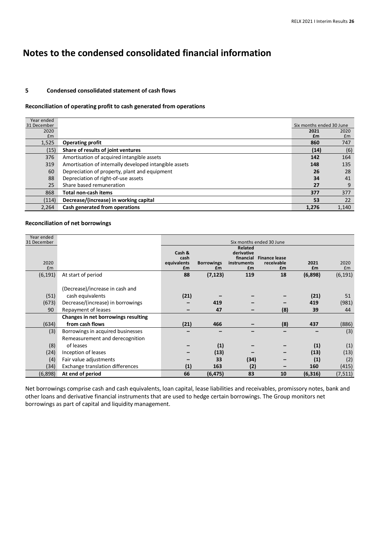#### **5 Condensed consolidated statement of cash flows**

#### **Reconciliation of operating profit to cash generated from operations**

| Year ended  |                                                        |                          |       |
|-------------|--------------------------------------------------------|--------------------------|-------|
| 31 December |                                                        | Six months ended 30 June |       |
| 2020        |                                                        | 2021                     | 2020  |
| Em          |                                                        | £m                       | Em    |
| 1,525       | <b>Operating profit</b>                                | 860                      | 747   |
| (15)        | Share of results of joint ventures                     | (14)                     | (6)   |
| 376         | Amortisation of acquired intangible assets             | 142                      | 164   |
| 319         | Amortisation of internally developed intangible assets | 148                      | 135   |
| 60          | Depreciation of property, plant and equipment          | 26                       | 28    |
| 88          | Depreciation of right-of-use assets                    | 34                       | 41    |
| 25          | Share based remuneration                               | 27                       | 9     |
| 868         | <b>Total non-cash items</b>                            | 377                      | 377   |
| (114)       | Decrease/(increase) in working capital                 | 53                       | 22    |
| 2.264       | Cash generated from operations                         | 1.276                    | 1.140 |

#### **Reconciliation of net borrowings**

| Year ended<br>31 December |                                         |                     |                   |                          | Six months ended 30 June           |          |          |  |
|---------------------------|-----------------------------------------|---------------------|-------------------|--------------------------|------------------------------------|----------|----------|--|
|                           |                                         |                     | Related           |                          |                                    |          |          |  |
|                           |                                         | Cash &              |                   | derivative               |                                    |          |          |  |
| 2020                      |                                         | cash<br>equivalents | <b>Borrowings</b> | financial<br>instruments | <b>Finance lease</b><br>receivable | 2021     | 2020     |  |
| £m                        |                                         | £m                  | £m                | £m                       | £m                                 | £m       | £m       |  |
| (6, 191)                  | At start of period                      | 88                  | (7, 123)          | 119                      | 18                                 | (6,898)  | (6, 191) |  |
|                           |                                         |                     |                   |                          |                                    |          |          |  |
|                           | (Decrease)/increase in cash and         |                     |                   |                          |                                    |          |          |  |
| (51)                      | cash equivalents                        | (21)                |                   |                          |                                    | (21)     | 51       |  |
| (673)                     | Decrease/(increase) in borrowings       |                     | 419               |                          |                                    | 419      | (981)    |  |
| 90                        | Repayment of leases                     |                     | 47                |                          | (8)                                | 39       | 44       |  |
|                           | Changes in net borrowings resulting     |                     |                   |                          |                                    |          |          |  |
| (634)                     | from cash flows                         | (21)                | 466               |                          | (8)                                | 437      | (886)    |  |
| (3)                       | Borrowings in acquired businesses       |                     |                   |                          |                                    |          | (3)      |  |
|                           | Remeasurement and derecognition         |                     |                   |                          |                                    |          |          |  |
| (8)                       | of leases                               |                     | (1)               |                          |                                    | (1)      | (1)      |  |
| (24)                      | Inception of leases                     |                     | (13)              |                          |                                    | (13)     | (13)     |  |
| (4)                       | Fair value adjustments                  |                     | 33                | (34)                     |                                    | (1)      | (2)      |  |
| (34)                      | <b>Exchange translation differences</b> | (1)                 | 163               | (2)                      |                                    | 160      | (415)    |  |
| (6,898)                   | At end of period                        | 66                  | (6, 475)          | 83                       | 10                                 | (6, 316) | (7, 511) |  |

Net borrowings comprise cash and cash equivalents, loan capital, lease liabilities and receivables, promissory notes, bank and other loans and derivative financial instruments that are used to hedge certain borrowings. The Group monitors net borrowings as part of capital and liquidity management.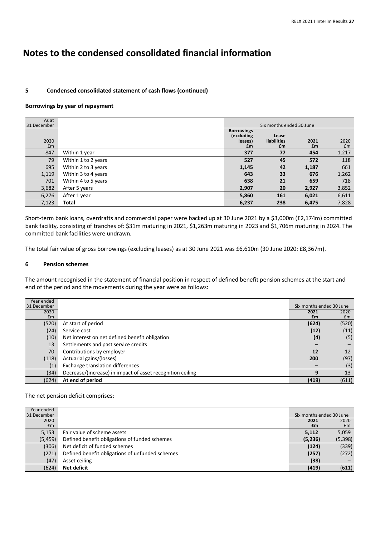### **5 Condensed consolidated statement of cash flows (continued)**

#### **Borrowings by year of repayment**

| As at<br>31 December |                     | Six months ended 30 June                         |                            |            |            |
|----------------------|---------------------|--------------------------------------------------|----------------------------|------------|------------|
| 2020<br>Em           |                     | <b>Borrowings</b><br>(excluding<br>leases)<br>£m | Lease<br>liabilities<br>£m | 2021<br>£m | 2020<br>£m |
| 847                  | Within 1 year       | 377                                              | 77                         | 454        | 1,217      |
| 79                   | Within 1 to 2 years | 527                                              | 45                         | 572        | 118        |
| 695                  | Within 2 to 3 years | 1,145                                            | 42                         | 1,187      | 661        |
| 1,119                | Within 3 to 4 years | 643                                              | 33                         | 676        | 1,262      |
| 701                  | Within 4 to 5 years | 638                                              | 21                         | 659        | 718        |
| 3,682                | After 5 years       | 2,907                                            | 20                         | 2,927      | 3,852      |
| 6,276                | After 1 year        | 5,860                                            | 161                        | 6,021      | 6,611      |
| 7,123                | Total               | 6,237                                            | 238                        | 6,475      | 7,828      |

Short-term bank loans, overdrafts and commercial paper were backed up at 30 June 2021 by a \$3,000m (£2,174m) committed bank facility, consisting of tranches of: \$31m maturing in 2021, \$1,263m maturing in 2023 and \$1,706m maturing in 2024. The committed bank facilities were undrawn.

The total fair value of gross borrowings (excluding leases) as at 30 June 2021 was £6,610m (30 June 2020: £8,367m).

#### **6 Pension schemes**

The amount recognised in the statement of financial position in respect of defined benefit pension schemes at the start and end of the period and the movements during the year were as follows:

| Year ended  |                                                            |                          |       |
|-------------|------------------------------------------------------------|--------------------------|-------|
| 31 December |                                                            | Six months ended 30 June |       |
| 2020        |                                                            | 2021                     | 2020  |
| Em          |                                                            | £m                       | £m    |
| (520)       | At start of period                                         | (624)                    | (520) |
| (24)        | Service cost                                               | (12)                     | (11)  |
| (10)        | Net interest on net defined benefit obligation             | (4)                      | (5)   |
| 13          | Settlements and past service credits                       |                          |       |
| 70          | Contributions by employer                                  | 12                       | 12    |
| (118)       | Actuarial gains/(losses)                                   | 200                      | (97)  |
| (1)         | Exchange translation differences                           |                          | (3)   |
| (34)        | Decrease/(increase) in impact of asset recognition ceiling | q                        | 13    |
| (624)       | At end of period                                           | (419)                    | (611) |

#### The net pension deficit comprises:

| Year ended  |                                                 |                          |          |
|-------------|-------------------------------------------------|--------------------------|----------|
| 31 December |                                                 | Six months ended 30 June |          |
| 2020        |                                                 | 2021                     | 2020     |
| Em          |                                                 | £m                       | £m       |
| 5,153       | Fair value of scheme assets                     | 5,112                    | 5,059    |
| (5, 459)    | Defined benefit obligations of funded schemes   | (5,236)                  | (5, 398) |
| (306)       | Net deficit of funded schemes                   | (124)                    | (339)    |
| (271)       | Defined benefit obligations of unfunded schemes | (257)                    | (272)    |
| (47)        | Asset ceiling                                   | (38)                     |          |
| (624)       | Net deficit                                     | (419)                    | (611)    |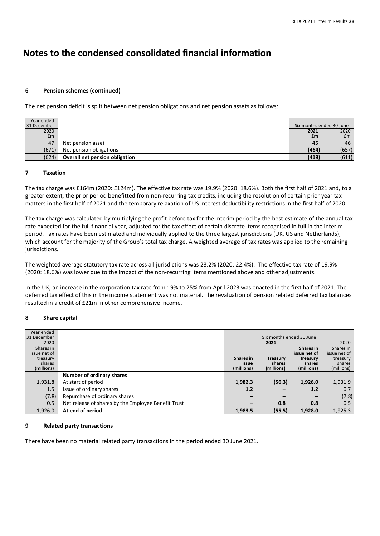#### **6 Pension schemes (continued)**

The net pension deficit is split between net pension obligations and net pension assets as follows:

| Year ended  |                                |                          |       |
|-------------|--------------------------------|--------------------------|-------|
| 31 December |                                | Six months ended 30 June |       |
| 2020        |                                | 2021                     | 2020  |
| Em          |                                | £m                       | £m    |
| 47          | Net pension asset              | 45                       | 46    |
| (671)       | Net pension obligations        | (464)                    | (657) |
| (624)       | Overall net pension obligation | (419)                    | (611) |

#### **7 Taxation**

The tax charge was £164m (2020: £124m). The effective tax rate was 19.9% (2020: 18.6%). Both the first half of 2021 and, to a greater extent, the prior period benefitted from non-recurring tax credits, including the resolution of certain prior year tax matters in the first half of 2021 and the temporary relaxation of US interest deductibility restrictions in the first half of 2020.

The tax charge was calculated by multiplying the profit before tax for the interim period by the best estimate of the annual tax rate expected for the full financial year, adjusted for the tax effect of certain discrete items recognised in full in the interim period. Tax rates have been estimated and individually applied to the three largest jurisdictions (UK, US and Netherlands), which account for the majority of the Group's total tax charge. A weighted average of tax rates was applied to the remaining jurisdictions.

The weighted average statutory tax rate across all jurisdictions was 23.2% (2020: 22.4%). The effective tax rate of 19.9% (2020: 18.6%) was lower due to the impact of the non-recurring items mentioned above and other adjustments.

In the UK, an increase in the corporation tax rate from 19% to 25% from April 2023 was enacted in the first half of 2021. The deferred tax effect of this in the income statement was not material. The revaluation of pension related deferred tax balances resulted in a credit of £21m in other comprehensive income.

#### **8 Share capital**

| Year ended   |                                                     |                  |                          |                          |              |
|--------------|-----------------------------------------------------|------------------|--------------------------|--------------------------|--------------|
| 31 December  |                                                     |                  | Six months ended 30 June |                          |              |
| 2020         |                                                     |                  | 2021                     |                          | 2020         |
| Shares in    |                                                     |                  |                          | Shares in                | Shares in    |
| issue net of |                                                     |                  |                          | issue net of             | issue net of |
| treasury     |                                                     | <b>Shares</b> in | <b>Treasury</b>          | treasury                 | treasury     |
| shares       |                                                     | issue            | shares                   | shares                   | shares       |
| (millions)   |                                                     | (millions)       | (millions)               | (millions)               | (millions)   |
|              | Number of ordinary shares                           |                  |                          |                          |              |
| 1,931.8      | At start of period                                  | 1,982.3          | (56.3)                   | 1,926.0                  | 1,931.9      |
| 1.5          | Issue of ordinary shares                            | 1.2              |                          | 1.2                      | 0.7          |
| (7.8)        | Repurchase of ordinary shares                       | -                | -                        | $\overline{\phantom{m}}$ | (7.8)        |
| 0.5          | Net release of shares by the Employee Benefit Trust | $\qquad \qquad$  | 0.8                      | 0.8                      | 0.5          |
| 1,926.0      | At end of period                                    | 1,983.5          | (55.5)                   | 1,928.0                  | 1,925.3      |

#### **9 Related party transactions**

There have been no material related party transactions in the period ended 30 June 2021.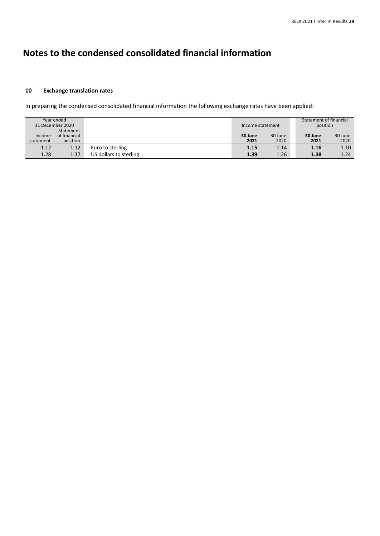#### **10 Exchange translation rates**

In preparing the condensed consolidated financial information the following exchange rates have been applied:

| Year ended |                  |                        |                  |         | Statement of financial |         |
|------------|------------------|------------------------|------------------|---------|------------------------|---------|
|            | 31 December 2020 |                        | Income statement |         | position               |         |
|            | Statement        |                        |                  |         |                        |         |
| Income     | of financial     |                        | 30 June          | 30 June | 30 June                | 30 June |
| statement  | position         |                        | 2021             | 2020    | 2021                   | 2020    |
| 1.12       | 1.12             | Euro to sterling       | 1.15             | 1.14    | 1.16                   | 1.10    |
| 1.28       | 1.37             | US dollars to sterling | 1.39             | 1.26    | 1.38                   | 1.24    |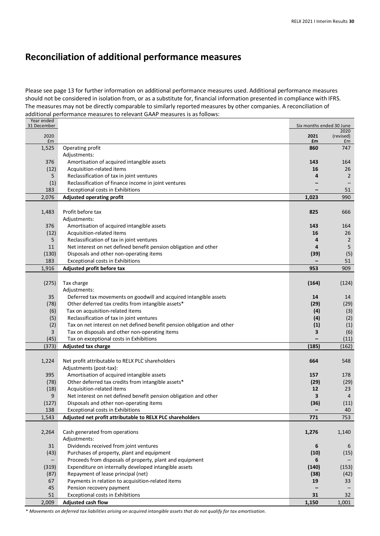# **Reconciliation of additional performance measures**

Please see page 13 for further information on additional performance measures used. Additional performance measures should not be considered in isolation from, or as a substitute for, financial information presented in compliance with IFRS. The measures may not be directly comparable to similarly reported measures by other companies. A reconciliation of additional performance measures to relevant GAAP measures is as follows:

| Year ended<br>31 December |                                                                         | Six months ended 30 June |                   |
|---------------------------|-------------------------------------------------------------------------|--------------------------|-------------------|
| 2020                      |                                                                         | 2021                     | 2020<br>(revised) |
| £m                        |                                                                         | £m                       | £m                |
| 1,525                     | Operating profit                                                        | 860                      | 747               |
|                           | Adjustments:                                                            |                          |                   |
| 376                       | Amortisation of acquired intangible assets                              | 143                      | 164               |
| (12)                      | Acquisition-related items                                               | 16                       | 26                |
| 5                         | Reclassification of tax in joint ventures                               | 4                        | $\overline{2}$    |
| (1)                       | Reclassification of finance income in joint ventures                    |                          |                   |
| 183                       | <b>Exceptional costs in Exhibitions</b>                                 |                          | 51                |
| 2,076                     | <b>Adjusted operating profit</b>                                        | 1,023                    | 990               |
|                           |                                                                         |                          |                   |
| 1,483                     | Profit before tax                                                       | 825                      | 666               |
|                           | Adjustments:                                                            |                          |                   |
| 376                       | Amortisation of acquired intangible assets                              | 143                      | 164               |
| (12)                      | Acquisition-related items                                               | 16                       | 26                |
| 5                         | Reclassification of tax in joint ventures                               | 4                        | $\overline{2}$    |
| 11                        | Net interest on net defined benefit pension obligation and other        | 4                        | 5                 |
| (130)                     | Disposals and other non-operating items                                 | (39)                     | (5)               |
| 183                       | <b>Exceptional costs in Exhibitions</b>                                 |                          | 51                |
| 1,916                     | Adjusted profit before tax                                              | 953                      | 909               |
|                           |                                                                         |                          |                   |
| (275)                     | Tax charge                                                              | (164)                    | (124)             |
|                           | Adjustments:                                                            |                          |                   |
| 35                        | Deferred tax movements on goodwill and acquired intangible assets       | 14                       | 14                |
| (78)                      | Other deferred tax credits from intangible assets*                      | (29)                     | (29)              |
| (6)                       | Tax on acquisition-related items                                        | (4)                      | (3)               |
| (5)                       | Reclassification of tax in joint ventures                               | (4)                      | (2)               |
| (2)                       | Tax on net interest on net defined benefit pension obligation and other | (1)                      | (1)               |
| 3                         | Tax on disposals and other non-operating items                          | 3                        | (6)               |
| (45)                      | Tax on exceptional costs in Exhibitions                                 |                          | (11)              |
| (373)                     | Adjusted tax charge                                                     | (185)                    | (162)             |
|                           |                                                                         |                          |                   |
| 1,224                     | Net profit attributable to RELX PLC shareholders                        | 664                      | 548               |
|                           | Adjustments (post-tax):                                                 |                          |                   |
| 395                       | Amortisation of acquired intangible assets                              | 157                      | 178               |
| (78)                      | Other deferred tax credits from intangible assets*                      | (29)                     | (29)              |
| (18)                      | Acquisition-related items                                               | 12                       | 23                |
| 9                         | Net interest on net defined benefit pension obligation and other        | 3                        | $\overline{4}$    |
| (127)                     | Disposals and other non-operating items                                 | (36)                     | (11)              |
| 138                       | <b>Exceptional costs in Exhibitions</b>                                 |                          | 40                |
| 1,543                     | Adjusted net profit attributable to RELX PLC shareholders               | 771                      | 753               |
|                           |                                                                         |                          |                   |
| 2,264                     | Cash generated from operations                                          | 1,276                    | 1,140             |
|                           | Adjustments:                                                            |                          |                   |
| 31                        | Dividends received from joint ventures                                  | 6                        | 6                 |
| (43)                      | Purchases of property, plant and equipment                              | (10)                     | (15)              |
|                           | Proceeds from disposals of property, plant and equipment                | 6                        |                   |
| (319)                     | Expenditure on internally developed intangible assets                   | (140)                    | (153)             |
| (87)                      | Repayment of lease principal (net)                                      | (38)                     | (42)              |
| 67                        | Payments in relation to acquisition-related items                       | 19                       | 33                |
| 45                        | Pension recovery payment                                                |                          |                   |
| 51                        | <b>Exceptional costs in Exhibitions</b>                                 | 31                       | 32                |
| 2,009                     | Adjusted cash flow                                                      | 1,150                    | 1,001             |

\* Movements on deferred tax liabilities arising on acquired intangible assets that do not qualify for tax amortisation.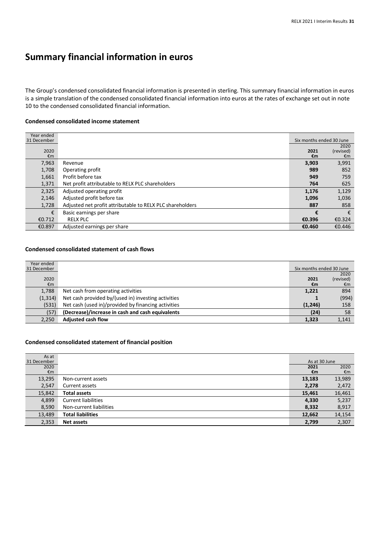# **Summary financial information in euros**

The Group's condensed consolidated financial information is presented in sterling. This summary financial information in euros is a simple translation of the condensed consolidated financial information into euros at the rates of exchange set out in note 10 to the condensed consolidated financial information.

#### **Condensed consolidated income statement**

| Year ended<br>31 December |                                                           | Six months ended 30 June |           |
|---------------------------|-----------------------------------------------------------|--------------------------|-----------|
|                           |                                                           |                          | 2020      |
| 2020                      |                                                           | 2021                     | (revised) |
| €m                        |                                                           | €m                       | €m        |
| 7,963                     | Revenue                                                   | 3,903                    | 3,991     |
| 1,708                     | Operating profit                                          | 989                      | 852       |
| 1,661                     | Profit before tax                                         | 949                      | 759       |
| 1,371                     | Net profit attributable to RELX PLC shareholders          | 764                      | 625       |
| 2,325                     | Adjusted operating profit                                 | 1,176                    | 1,129     |
| 2,146                     | Adjusted profit before tax                                | 1,096                    | 1,036     |
| 1,728                     | Adjusted net profit attributable to RELX PLC shareholders | 887                      | 858       |
| €                         | Basic earnings per share                                  | €                        | €         |
| €0.712                    | <b>RELX PLC</b>                                           | €0.396                   | €0.324    |
| €0.897                    | Adjusted earnings per share                               | €0.460                   | €0.446    |

#### **Condensed consolidated statement of cash flows**

| Year ended  |                                                     |                          |           |
|-------------|-----------------------------------------------------|--------------------------|-----------|
| 31 December |                                                     | Six months ended 30 June |           |
|             |                                                     |                          | 2020      |
| 2020        |                                                     | 2021                     | (revised) |
| €m          |                                                     | €m                       | €m        |
| 1,788       | Net cash from operating activities                  | 1,221                    | 894       |
| (1, 314)    | Net cash provided by/(used in) investing activities |                          | (994)     |
| (531)       | Net cash (used in)/provided by financing activities | (1, 246)                 | 158       |
| (57)        | (Decrease)/increase in cash and cash equivalents    | (24)                     | 58        |
| 2.250       | <b>Adjusted cash flow</b>                           | 1,323                    | 1,141     |

### **Condensed consolidated statement of financial position**

| As at       |                            |               |        |
|-------------|----------------------------|---------------|--------|
| 31 December |                            | As at 30 June |        |
| 2020        |                            | 2021          | 2020   |
| €m          |                            | €m            | €m     |
| 13,295      | Non-current assets         | 13,183        | 13,989 |
| 2,547       | Current assets             | 2,278         | 2,472  |
| 15,842      | <b>Total assets</b>        | 15,461        | 16,461 |
| 4,899       | <b>Current liabilities</b> | 4,330         | 5,237  |
| 8,590       | Non-current liabilities    | 8,332         | 8,917  |
| 13,489      | <b>Total liabilities</b>   | 12,662        | 14,154 |
| 2,353       | Net assets                 | 2,799         | 2,307  |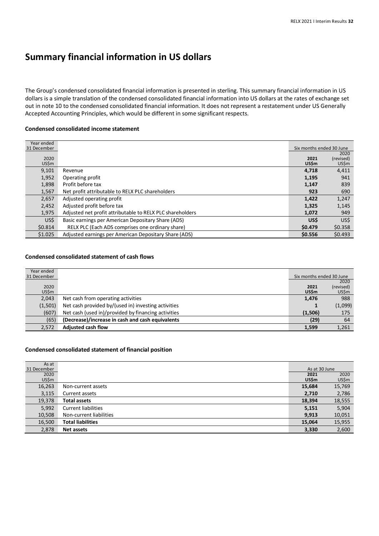# **Summary financial information in US dollars**

The Group's condensed consolidated financial information is presented in sterling. This summary financial information in US dollars is a simple translation of the condensed consolidated financial information into US dollars at the rates of exchange set out in note 10 to the condensed consolidated financial information. It does not represent a restatement under US Generally Accepted Accounting Principles, which would be different in some significant respects.

#### **Condensed consolidated income statement**

| Year ended  |                                                           |                          |           |
|-------------|-----------------------------------------------------------|--------------------------|-----------|
| 31 December |                                                           | Six months ended 30 June |           |
|             |                                                           |                          | 2020      |
| 2020        |                                                           | 2021                     | (revised) |
| US\$m       |                                                           | <b>US\$m</b>             | US\$m     |
| 9,101       | Revenue                                                   | 4.718                    | 4,411     |
| 1,952       | Operating profit                                          | 1,195                    | 941       |
| 1,898       | Profit before tax                                         | 1,147                    | 839       |
| 1,567       | Net profit attributable to RELX PLC shareholders          | 923                      | 690       |
| 2,657       | Adjusted operating profit                                 | 1,422                    | 1,247     |
| 2,452       | Adjusted profit before tax                                | 1,325                    | 1,145     |
| 1,975       | Adjusted net profit attributable to RELX PLC shareholders | 1,072                    | 949       |
| US\$        | Basic earnings per American Depositary Share (ADS)        | US\$                     | US\$      |
| \$0.814     | RELX PLC (Each ADS comprises one ordinary share)          | \$0.479                  | \$0.358   |
| \$1.025     | Adjusted earnings per American Depositary Share (ADS)     | \$0.556                  | \$0.493   |

#### **Condensed consolidated statement of cash flows**

| Year ended  |                                                     |                          |           |
|-------------|-----------------------------------------------------|--------------------------|-----------|
| 31 December |                                                     | Six months ended 30 June |           |
|             |                                                     |                          | 2020      |
| 2020        |                                                     | 2021                     | (revised) |
| US\$m       |                                                     | <b>US\$m</b>             | US\$m     |
| 2,043       | Net cash from operating activities                  | 1,476                    | 988       |
| (1,501)     | Net cash provided by/(used in) investing activities |                          | (1,099)   |
| (607)       | Net cash (used in)/provided by financing activities | (1,506)                  | 175       |
| (65)        | (Decrease)/increase in cash and cash equivalents    | (29)                     | 64        |
| 2.572       | <b>Adjusted cash flow</b>                           | 1.599                    | 1,261     |

#### **Condensed consolidated statement of financial position**

| As at       |                            |               |        |
|-------------|----------------------------|---------------|--------|
| 31 December |                            | As at 30 June |        |
| 2020        |                            | 2021          | 2020   |
| US\$m       |                            | <b>US\$m</b>  | US\$m  |
| 16,263      | Non-current assets         | 15,684        | 15,769 |
| 3,115       | Current assets             | 2,710         | 2,786  |
| 19,378      | <b>Total assets</b>        | 18,394        | 18,555 |
| 5,992       | <b>Current liabilities</b> | 5,151         | 5,904  |
| 10,508      | Non-current liabilities    | 9,913         | 10,051 |
| 16,500      | <b>Total liabilities</b>   | 15,064        | 15,955 |
| 2,878       | Net assets                 | 3,330         | 2,600  |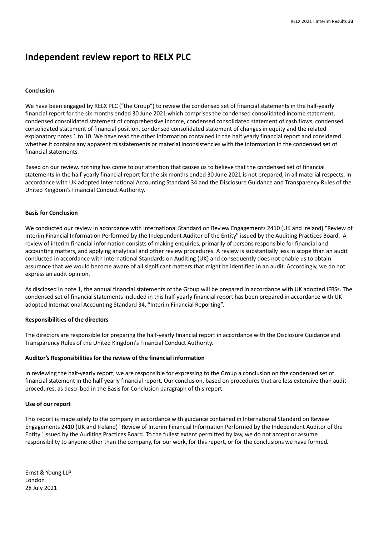## **Independent review report to RELX PLC**

#### **Conclusion**

We have been engaged by RELX PLC ("the Group") to review the condensed set of financial statements in the half-yearly financial report for the six months ended 30 June 2021 which comprises the condensed consolidated income statement, condensed consolidated statement of comprehensive income, condensed consolidated statement of cash flows, condensed consolidated statement of financial position, condensed consolidated statement of changes in equity and the related explanatory notes 1 to 10. We have read the other information contained in the half yearly financial report and considered whether it contains any apparent misstatements or material inconsistencies with the information in the condensed set of financial statements.

Based on our review, nothing has come to our attention that causes us to believe that the condensed set of financial statements in the half-yearly financial report for the six months ended 30 June 2021 is not prepared, in all material respects, in accordance with UK adopted International Accounting Standard 34 and the Disclosure Guidance and Transparency Rules of the United Kingdom's Financial Conduct Authority.

#### **Basis for Conclusion**

We conducted our review in accordance with International Standard on Review Engagements 2410 (UK and Ireland) "Review of Interim Financial Information Performed by the Independent Auditor of the Entity" issued by the Auditing Practices Board. A review of interim financial information consists of making enquiries, primarily of persons responsible for financial and accounting matters, and applying analytical and other review procedures. A review is substantially less in scope than an audit conducted in accordance with International Standards on Auditing (UK) and consequently does not enable us to obtain assurance that we would become aware of all significant matters that might be identified in an audit. Accordingly, we do not express an audit opinion.

As disclosed in note 1, the annual financial statements of the Group will be prepared in accordance with UK adopted IFRSs. The condensed set of financial statements included in this half-yearly financial report has been prepared in accordance with UK adopted International Accounting Standard 34, "Interim Financial Reporting".

#### **Responsibilities of the directors**

The directors are responsible for preparing the half-yearly financial report in accordance with the Disclosure Guidance and Transparency Rules of the United Kingdom's Financial Conduct Authority.

#### **Auditor's Responsibilities for the review of the financial information**

In reviewing the half-yearly report, we are responsible for expressing to the Group a conclusion on the condensed set of financial statement in the half-yearly financial report. Our conclusion, based on procedures that are less extensive than audit procedures, as described in the Basis for Conclusion paragraph of this report.

#### **Use of our report**

This report is made solely to the company in accordance with guidance contained in International Standard on Review Engagements 2410 (UK and Ireland) "Review of Interim Financial Information Performed by the Independent Auditor of the Entity" issued by the Auditing Practices Board. To the fullest extent permitted by law, we do not accept or assume responsibility to anyone other than the company, for our work, for this report, or for the conclusions we have formed.

Ernst & Young LLP London 28 July 2021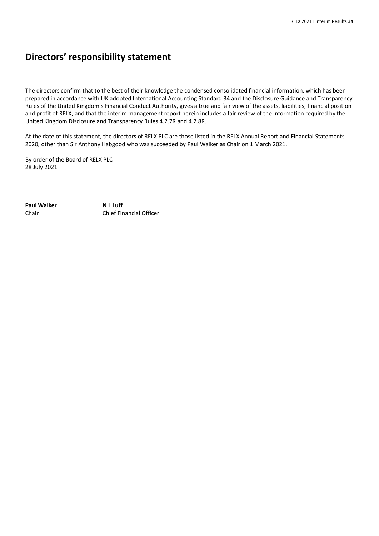## **Directors' responsibility statement**

The directors confirm that to the best of their knowledge the condensed consolidated financial information, which has been prepared in accordance with UK adopted International Accounting Standard 34 and the Disclosure Guidance and Transparency Rules of the United Kingdom's Financial Conduct Authority, gives a true and fair view of the assets, liabilities, financial position and profit of RELX, and that the interim management report herein includes a fair review of the information required by the United Kingdom Disclosure and Transparency Rules 4.2.7R and 4.2.8R.

At the date of this statement, the directors of RELX PLC are those listed in the RELX Annual Report and Financial Statements 2020, other than Sir Anthony Habgood who was succeeded by Paul Walker as Chair on 1 March 2021.

By order of the Board of RELX PLC 28 July 2021

**Paul Walker** Chair

**N L Luff** Chief Financial Officer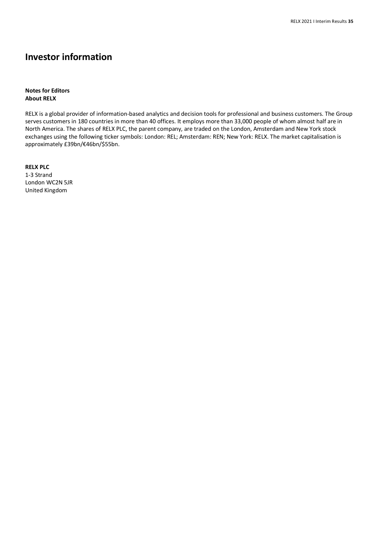## **Investor information**

### **Notes for Editors About RELX**

RELX is a global provider of information-based analytics and decision tools for professional and business customers. The Group serves customers in 180 countries in more than 40 offices. It employs more than 33,000 people of whom almost half are in North America. The shares of RELX PLC, the parent company, are traded on the London, Amsterdam and New York stock exchanges using the following ticker symbols: London: REL; Amsterdam: REN; New York: RELX. The market capitalisation is approximately £39bn/€46bn/\$55bn.

**RELX PLC** 1-3 Strand London WC2N 5JR United Kingdom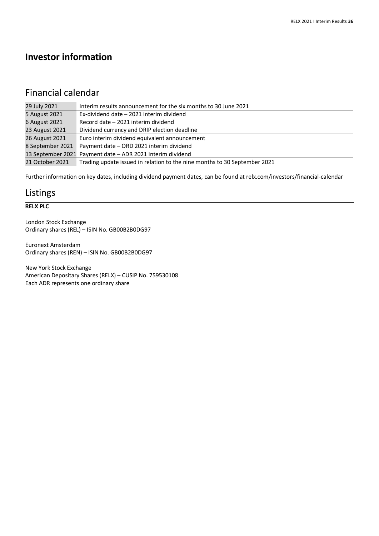## **Investor information**

## Financial calendar

| 29 July 2021     | Interim results announcement for the six months to 30 June 2021           |
|------------------|---------------------------------------------------------------------------|
| 5 August 2021    | Ex-dividend date - 2021 interim dividend                                  |
| 6 August 2021    | Record date - 2021 interim dividend                                       |
| 23 August 2021   | Dividend currency and DRIP election deadline                              |
| 26 August 2021   | Euro interim dividend equivalent announcement                             |
| 8 September 2021 | Payment date - ORD 2021 interim dividend                                  |
|                  | 13 September 2021 Payment date - ADR 2021 interim dividend                |
| 21 October 2021  | Trading update issued in relation to the nine months to 30 September 2021 |

Further information on key dates, including dividend payment dates, can be found at relx.com/investors/financial-calendar

## Listings

### **RELX PLC**

London Stock Exchange Ordinary shares (REL) – ISIN No. GB00B2B0DG97

Euronext Amsterdam Ordinary shares (REN) – ISIN No. GB00B2B0DG97

New York Stock Exchange American Depositary Shares (RELX) – CUSIP No. 759530108 Each ADR represents one ordinary share